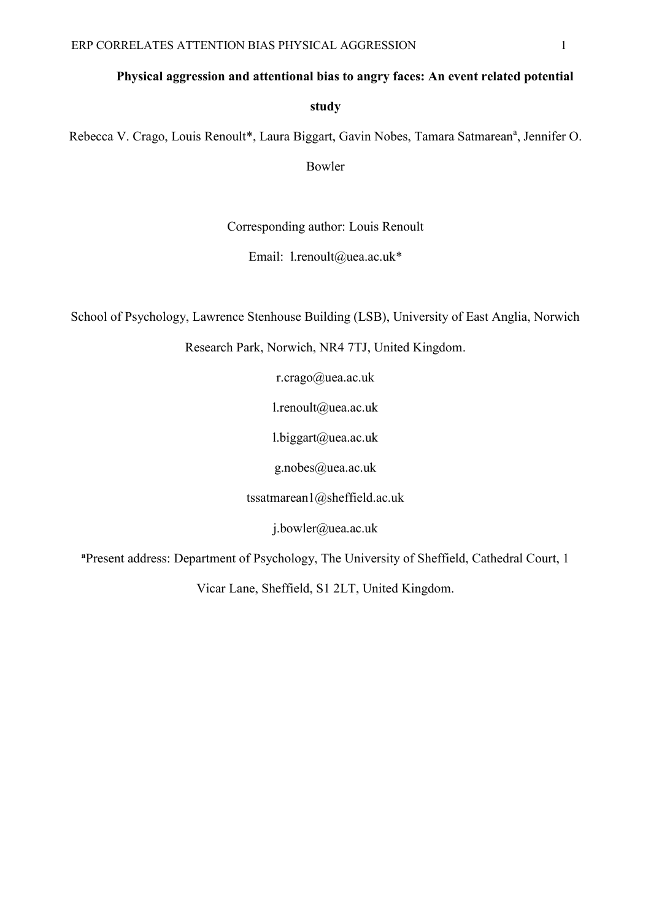# **Physical aggression and attentional bias to angry faces: An event related potential**

**study**

Rebecca V. Crago, Louis Renoult\*, Laura Biggart, Gavin Nobes, Tamara Satmarean<sup>a</sup>, Jennifer O.

Bowler

Corresponding author: Louis Renoult

Email: l.renoult@uea.ac.uk\*

School of Psychology, Lawrence Stenhouse Building (LSB), University of East Anglia, Norwich

Research Park, Norwich, NR4 7TJ, United Kingdom.

r.crago@uea.ac.uk

l.renoult@uea.ac.uk

 $l.biggart@uea.ac.uk$ 

g.nobes@uea.ac.uk

tssatmarean1@sheffield.ac.uk

j.bowler@uea.ac.uk

**<sup>a</sup>**Present address: Department of Psychology, The University of Sheffield, Cathedral Court, 1

Vicar Lane, Sheffield, S1 2LT, United Kingdom.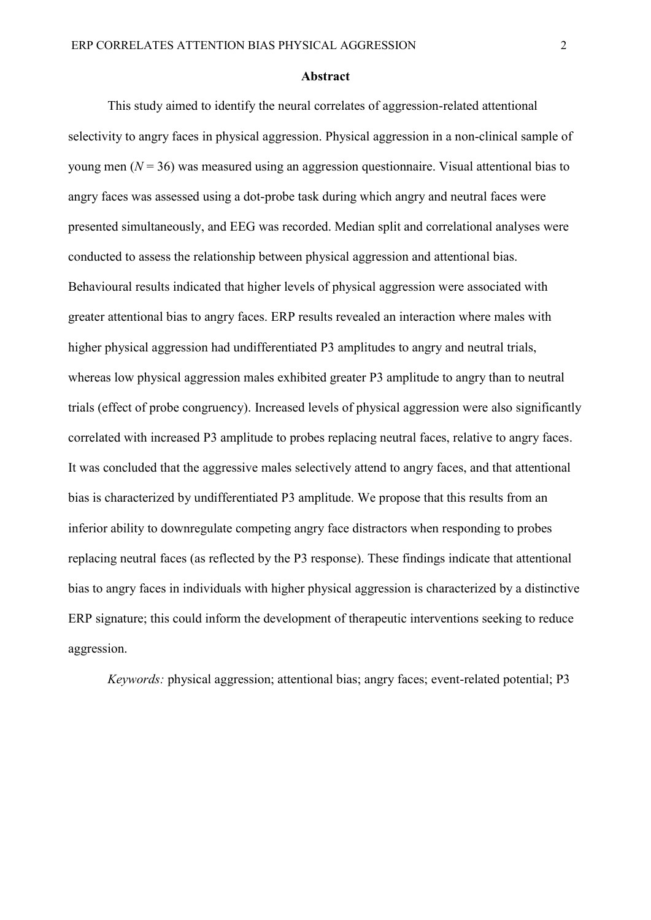#### **Abstract**

This study aimed to identify the neural correlates of aggression-related attentional selectivity to angry faces in physical aggression. Physical aggression in a non-clinical sample of young men (*N* = 36) was measured using an aggression questionnaire. Visual attentional bias to angry faces was assessed using a dot-probe task during which angry and neutral faces were presented simultaneously, and EEG was recorded. Median split and correlational analyses were conducted to assess the relationship between physical aggression and attentional bias. Behavioural results indicated that higher levels of physical aggression were associated with greater attentional bias to angry faces. ERP results revealed an interaction where males with higher physical aggression had undifferentiated P3 amplitudes to angry and neutral trials, whereas low physical aggression males exhibited greater P3 amplitude to angry than to neutral trials (effect of probe congruency). Increased levels of physical aggression were also significantly correlated with increased P3 amplitude to probes replacing neutral faces, relative to angry faces. It was concluded that the aggressive males selectively attend to angry faces, and that attentional bias is characterized by undifferentiated P3 amplitude. We propose that this results from an inferior ability to downregulate competing angry face distractors when responding to probes replacing neutral faces (as reflected by the P3 response). These findings indicate that attentional bias to angry faces in individuals with higher physical aggression is characterized by a distinctive ERP signature; this could inform the development of therapeutic interventions seeking to reduce aggression.

*Keywords:* physical aggression; attentional bias; angry faces; event-related potential; P3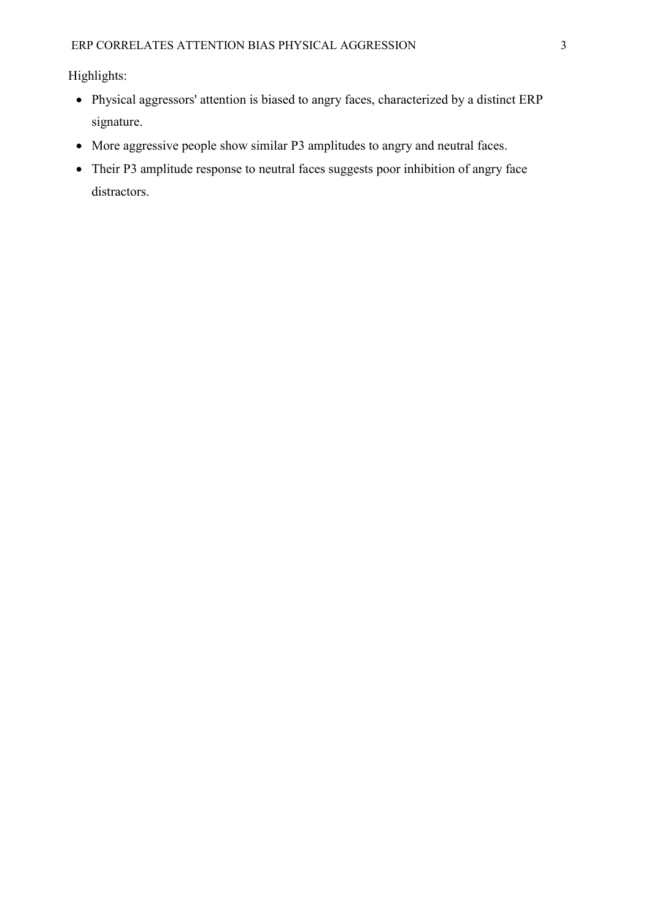Highlights:

- Physical aggressors' attention is biased to angry faces, characterized by a distinct ERP signature.
- More aggressive people show similar P3 amplitudes to angry and neutral faces.
- Their P3 amplitude response to neutral faces suggests poor inhibition of angry face distractors.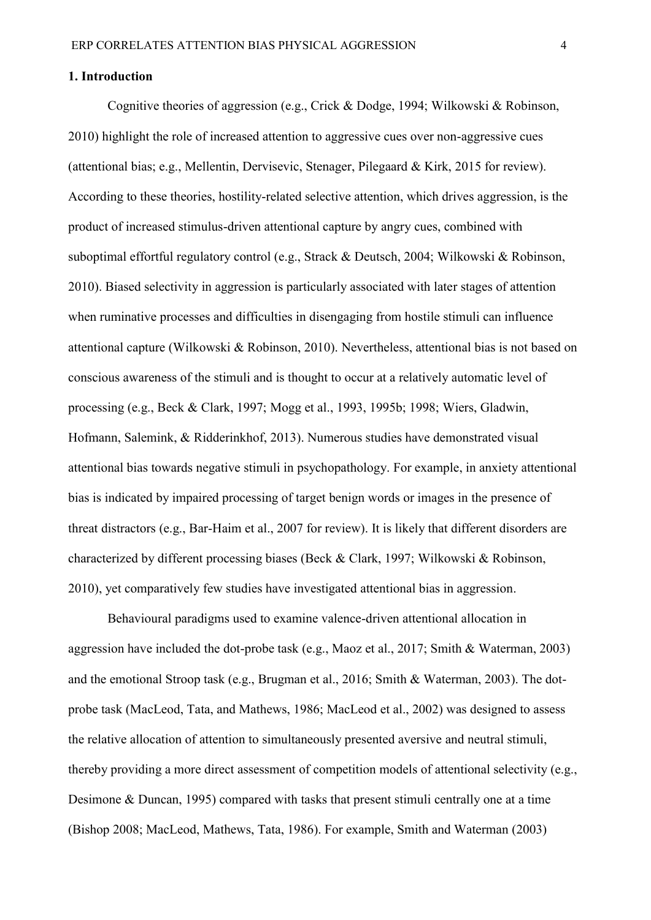#### **1. Introduction**

Cognitive theories of aggression (e.g., Crick & Dodge, 1994; Wilkowski & Robinson, 2010) highlight the role of increased attention to aggressive cues over non-aggressive cues (attentional bias; e.g., Mellentin, Dervisevic, Stenager, Pilegaard & Kirk, 2015 for review). According to these theories, hostility-related selective attention, which drives aggression, is the product of increased stimulus-driven attentional capture by angry cues, combined with suboptimal effortful regulatory control (e.g., Strack & Deutsch, 2004; Wilkowski & Robinson, 2010). Biased selectivity in aggression is particularly associated with later stages of attention when ruminative processes and difficulties in disengaging from hostile stimuli can influence attentional capture (Wilkowski & Robinson, 2010). Nevertheless, attentional bias is not based on conscious awareness of the stimuli and is thought to occur at a relatively automatic level of processing (e.g., Beck & Clark, 1997; Mogg et al., 1993, 1995b; 1998; Wiers, Gladwin, Hofmann, Salemink, & Ridderinkhof, 2013). Numerous studies have demonstrated visual attentional bias towards negative stimuli in psychopathology. For example, in anxiety attentional bias is indicated by impaired processing of target benign words or images in the presence of threat distractors (e.g., Bar-Haim et al., 2007 for review). It is likely that different disorders are characterized by different processing biases (Beck & Clark, 1997; Wilkowski & Robinson, 2010), yet comparatively few studies have investigated attentional bias in aggression.

Behavioural paradigms used to examine valence-driven attentional allocation in aggression have included the dot-probe task (e.g., Maoz et al., 2017; Smith & Waterman, 2003) and the emotional Stroop task (e.g., Brugman et al., 2016; Smith & Waterman, 2003). The dotprobe task (MacLeod, Tata, and Mathews, 1986; MacLeod et al., 2002) was designed to assess the relative allocation of attention to simultaneously presented aversive and neutral stimuli, thereby providing a more direct assessment of competition models of attentional selectivity (e.g., Desimone & Duncan, 1995) compared with tasks that present stimuli centrally one at a time (Bishop 2008; MacLeod, Mathews, Tata, 1986). For example, Smith and Waterman (2003)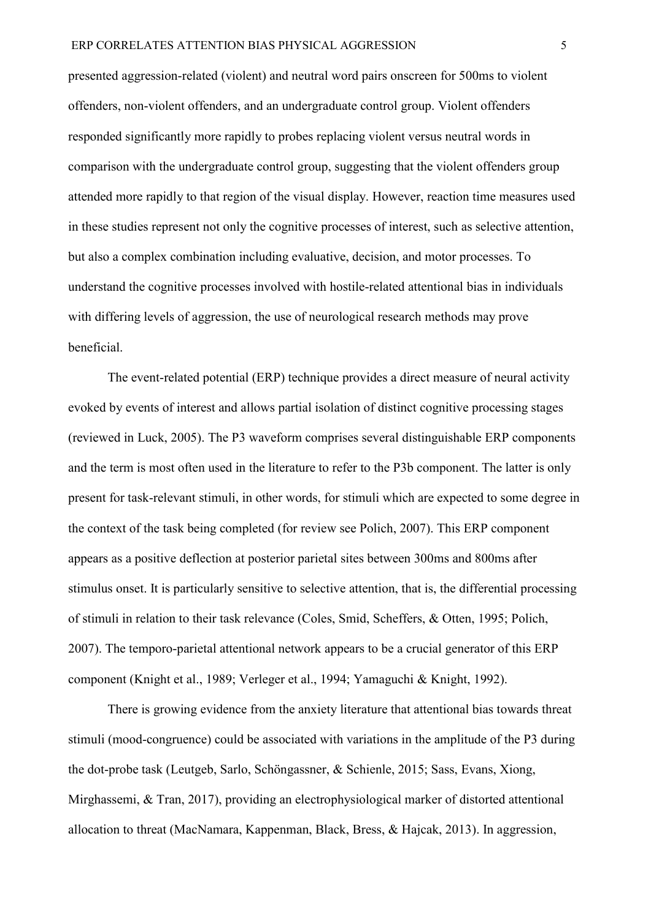presented aggression-related (violent) and neutral word pairs onscreen for 500ms to violent offenders, non-violent offenders, and an undergraduate control group. Violent offenders responded significantly more rapidly to probes replacing violent versus neutral words in comparison with the undergraduate control group, suggesting that the violent offenders group attended more rapidly to that region of the visual display. However, reaction time measures used in these studies represent not only the cognitive processes of interest, such as selective attention, but also a complex combination including evaluative, decision, and motor processes. To understand the cognitive processes involved with hostile-related attentional bias in individuals with differing levels of aggression, the use of neurological research methods may prove beneficial.

The event-related potential (ERP) technique provides a direct measure of neural activity evoked by events of interest and allows partial isolation of distinct cognitive processing stages (reviewed in Luck, 2005). The P3 waveform comprises several distinguishable ERP components and the term is most often used in the literature to refer to the P3b component. The latter is only present for task-relevant stimuli, in other words, for stimuli which are expected to some degree in the context of the task being completed (for review see Polich, 2007). This ERP component appears as a positive deflection at posterior parietal sites between 300ms and 800ms after stimulus onset. It is particularly sensitive to selective attention, that is, the differential processing of stimuli in relation to their task relevance (Coles, Smid, Scheffers, & Otten, 1995; Polich, 2007). The temporo-parietal attentional network appears to be a crucial generator of this ERP component (Knight et al., 1989; Verleger et al., 1994; Yamaguchi & Knight, 1992).

There is growing evidence from the anxiety literature that attentional bias towards threat stimuli (mood-congruence) could be associated with variations in the amplitude of the P3 during the dot-probe task (Leutgeb, Sarlo, Schöngassner, & Schienle, 2015; Sass, Evans, Xiong, Mirghassemi, & Tran, 2017), providing an electrophysiological marker of distorted attentional allocation to threat (MacNamara, Kappenman, Black, Bress, & Hajcak, 2013). In aggression,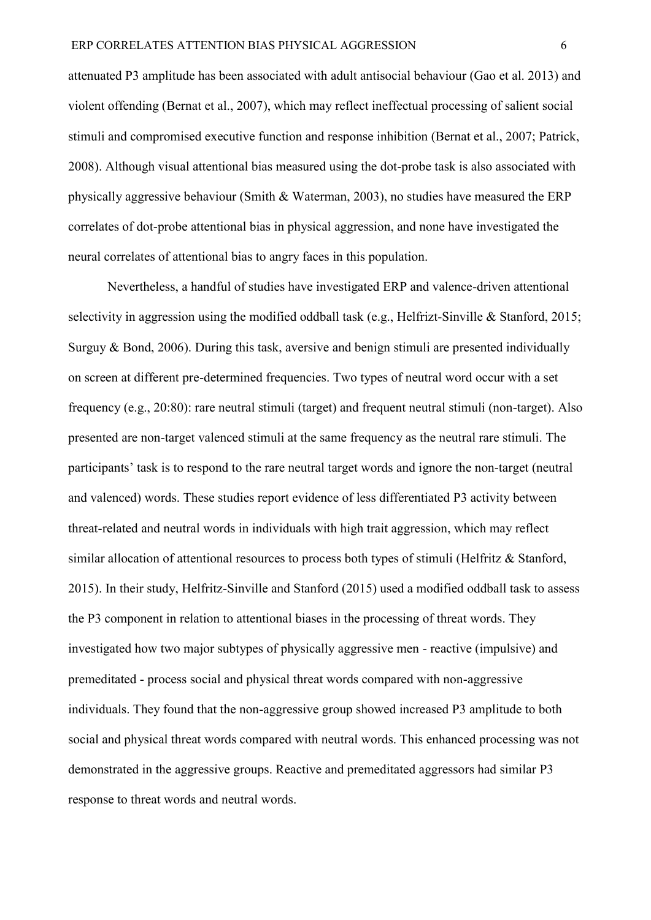attenuated P3 amplitude has been associated with adult antisocial behaviour (Gao et al. 2013) and violent offending (Bernat et al., 2007), which may reflect ineffectual processing of salient social stimuli and compromised executive function and response inhibition (Bernat et al., 2007; Patrick, 2008). Although visual attentional bias measured using the dot-probe task is also associated with physically aggressive behaviour (Smith & Waterman, 2003), no studies have measured the ERP correlates of dot-probe attentional bias in physical aggression, and none have investigated the neural correlates of attentional bias to angry faces in this population.

Nevertheless, a handful of studies have investigated ERP and valence-driven attentional selectivity in aggression using the modified oddball task (e.g., Helfrizt-Sinville & Stanford, 2015; Surguy & Bond, 2006). During this task, aversive and benign stimuli are presented individually on screen at different pre-determined frequencies. Two types of neutral word occur with a set frequency (e.g., 20:80): rare neutral stimuli (target) and frequent neutral stimuli (non-target). Also presented are non-target valenced stimuli at the same frequency as the neutral rare stimuli. The participants' task is to respond to the rare neutral target words and ignore the non-target (neutral and valenced) words. These studies report evidence of less differentiated P3 activity between threat-related and neutral words in individuals with high trait aggression, which may reflect similar allocation of attentional resources to process both types of stimuli (Helfritz & Stanford, 2015). In their study, Helfritz-Sinville and Stanford (2015) used a modified oddball task to assess the P3 component in relation to attentional biases in the processing of threat words. They investigated how two major subtypes of physically aggressive men - reactive (impulsive) and premeditated - process social and physical threat words compared with non-aggressive individuals. They found that the non-aggressive group showed increased P3 amplitude to both social and physical threat words compared with neutral words. This enhanced processing was not demonstrated in the aggressive groups. Reactive and premeditated aggressors had similar P3 response to threat words and neutral words.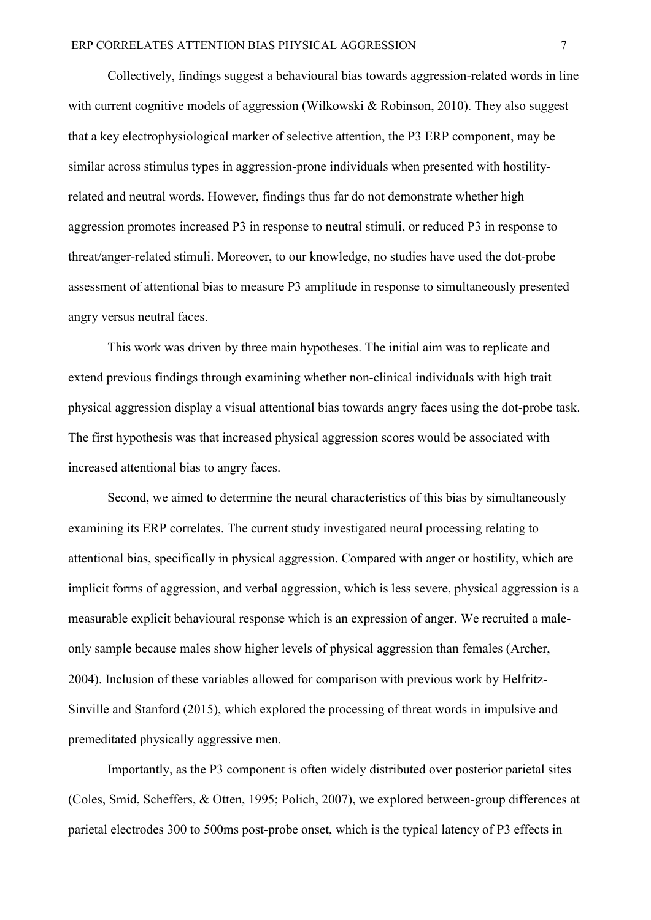Collectively, findings suggest a behavioural bias towards aggression-related words in line with current cognitive models of aggression (Wilkowski & Robinson, 2010). They also suggest that a key electrophysiological marker of selective attention, the P3 ERP component, may be similar across stimulus types in aggression-prone individuals when presented with hostilityrelated and neutral words. However, findings thus far do not demonstrate whether high aggression promotes increased P3 in response to neutral stimuli, or reduced P3 in response to threat/anger-related stimuli. Moreover, to our knowledge, no studies have used the dot-probe assessment of attentional bias to measure P3 amplitude in response to simultaneously presented angry versus neutral faces.

This work was driven by three main hypotheses. The initial aim was to replicate and extend previous findings through examining whether non-clinical individuals with high trait physical aggression display a visual attentional bias towards angry faces using the dot-probe task. The first hypothesis was that increased physical aggression scores would be associated with increased attentional bias to angry faces.

Second, we aimed to determine the neural characteristics of this bias by simultaneously examining its ERP correlates. The current study investigated neural processing relating to attentional bias, specifically in physical aggression. Compared with anger or hostility, which are implicit forms of aggression, and verbal aggression, which is less severe, physical aggression is a measurable explicit behavioural response which is an expression of anger. We recruited a maleonly sample because males show higher levels of physical aggression than females (Archer, 2004). Inclusion of these variables allowed for comparison with previous work by Helfritz-Sinville and Stanford (2015), which explored the processing of threat words in impulsive and premeditated physically aggressive men.

Importantly, as the P3 component is often widely distributed over posterior parietal sites (Coles, Smid, Scheffers, & Otten, 1995; Polich, 2007), we explored between-group differences at parietal electrodes 300 to 500ms post-probe onset, which is the typical latency of P3 effects in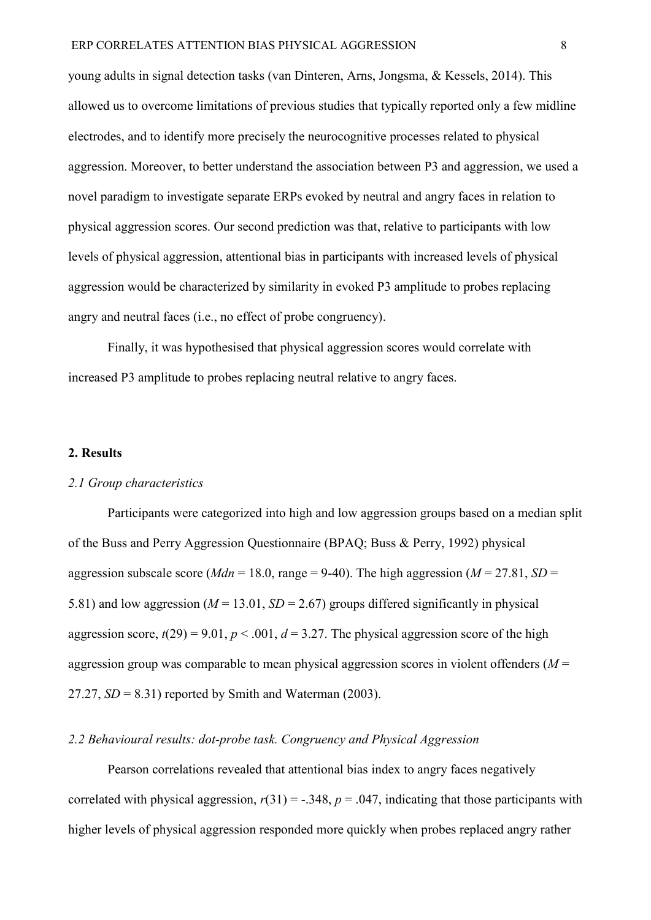young adults in signal detection tasks (van Dinteren, Arns, Jongsma, & Kessels, 2014). This allowed us to overcome limitations of previous studies that typically reported only a few midline electrodes, and to identify more precisely the neurocognitive processes related to physical aggression. Moreover, to better understand the association between P3 and aggression, we used a novel paradigm to investigate separate ERPs evoked by neutral and angry faces in relation to physical aggression scores. Our second prediction was that, relative to participants with low levels of physical aggression, attentional bias in participants with increased levels of physical aggression would be characterized by similarity in evoked P3 amplitude to probes replacing angry and neutral faces (i.e., no effect of probe congruency).

Finally, it was hypothesised that physical aggression scores would correlate with increased P3 amplitude to probes replacing neutral relative to angry faces.

## **2. Results**

### *2.1 Group characteristics*

Participants were categorized into high and low aggression groups based on a median split of the Buss and Perry Aggression Questionnaire (BPAQ; Buss & Perry, 1992) physical aggression subscale score ( $Mdn = 18.0$ , range = 9-40). The high aggression ( $M = 27.81$ ,  $SD =$ 5.81) and low aggression ( $M = 13.01$ ,  $SD = 2.67$ ) groups differed significantly in physical aggression score,  $t(29) = 9.01$ ,  $p < .001$ ,  $d = 3.27$ . The physical aggression score of the high aggression group was comparable to mean physical aggression scores in violent offenders (*M* = 27.27,  $SD = 8.31$ ) reported by Smith and Waterman (2003).

### *2.2 Behavioural results: dot-probe task. Congruency and Physical Aggression*

Pearson correlations revealed that attentional bias index to angry faces negatively correlated with physical aggression,  $r(31) = -.348$ ,  $p = .047$ , indicating that those participants with higher levels of physical aggression responded more quickly when probes replaced angry rather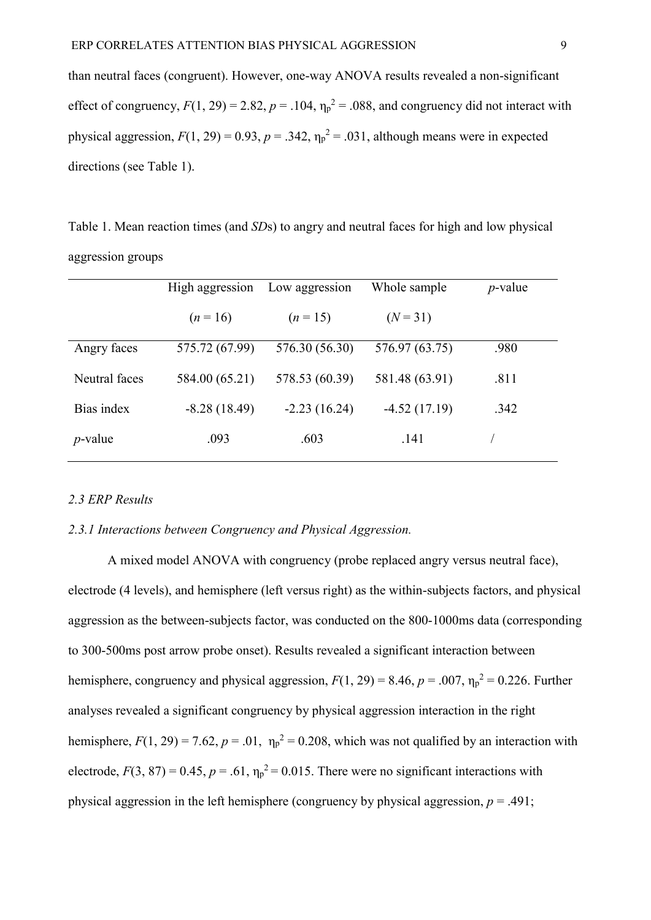than neutral faces (congruent). However, one-way ANOVA results revealed a non-significant effect of congruency,  $F(1, 29) = 2.82$ ,  $p = .104$ ,  $\eta_p^2 = .088$ , and congruency did not interact with physical aggression,  $F(1, 29) = 0.93$ ,  $p = .342$ ,  $\eta_p^2 = .031$ , although means were in expected directions (see Table 1).

Table 1. Mean reaction times (and *SD*s) to angry and neutral faces for high and low physical aggression groups

|               | High aggression | Low aggression | Whole sample   | $p$ -value |
|---------------|-----------------|----------------|----------------|------------|
|               | $(n=16)$        | $(n=15)$       | $(N = 31)$     |            |
| Angry faces   | 575.72 (67.99)  | 576.30 (56.30) | 576.97 (63.75) | .980       |
| Neutral faces | 584.00 (65.21)  | 578.53 (60.39) | 581.48 (63.91) | .811       |
| Bias index    | $-8.28(18.49)$  | $-2.23(16.24)$ | $-4.52(17.19)$ | .342       |
| $p$ -value    | .093            | .603           | .141           |            |

# *2.3 ERP Results*

## *2.3.1 Interactions between Congruency and Physical Aggression.*

A mixed model ANOVA with congruency (probe replaced angry versus neutral face), electrode (4 levels), and hemisphere (left versus right) as the within-subjects factors, and physical aggression as the between-subjects factor, was conducted on the 800-1000ms data (corresponding to 300-500ms post arrow probe onset). Results revealed a significant interaction between hemisphere, congruency and physical aggression,  $F(1, 29) = 8.46$ ,  $p = .007$ ,  $\eta_p^2 = 0.226$ . Further analyses revealed a significant congruency by physical aggression interaction in the right hemisphere,  $F(1, 29) = 7.62$ ,  $p = .01$ ,  $\eta_p^2 = 0.208$ , which was not qualified by an interaction with electrode,  $F(3, 87) = 0.45$ ,  $p = .61$ ,  $\eta_p^2 = 0.015$ . There were no significant interactions with physical aggression in the left hemisphere (congruency by physical aggression, *p* = .491;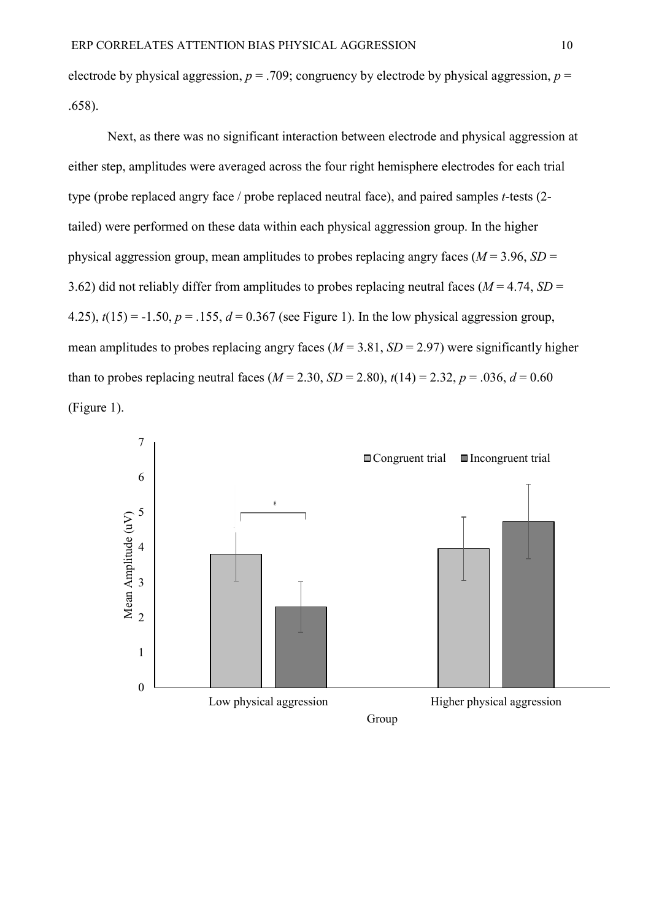electrode by physical aggression,  $p = .709$ ; congruency by electrode by physical aggression,  $p =$ .658).

Next, as there was no significant interaction between electrode and physical aggression at either step, amplitudes were averaged across the four right hemisphere electrodes for each trial type (probe replaced angry face / probe replaced neutral face), and paired samples *t*-tests (2 tailed) were performed on these data within each physical aggression group. In the higher physical aggression group, mean amplitudes to probes replacing angry faces  $(M = 3.96, SD =$ 3.62) did not reliably differ from amplitudes to probes replacing neutral faces ( $M = 4.74$ ,  $SD =$ 4.25),  $t(15) = -1.50$ ,  $p = 0.155$ ,  $d = 0.367$  (see Figure 1). In the low physical aggression group, mean amplitudes to probes replacing angry faces  $(M = 3.81, SD = 2.97)$  were significantly higher than to probes replacing neutral faces ( $M = 2.30$ ,  $SD = 2.80$ ),  $t(14) = 2.32$ ,  $p = .036$ ,  $d = 0.60$ (Figure 1).

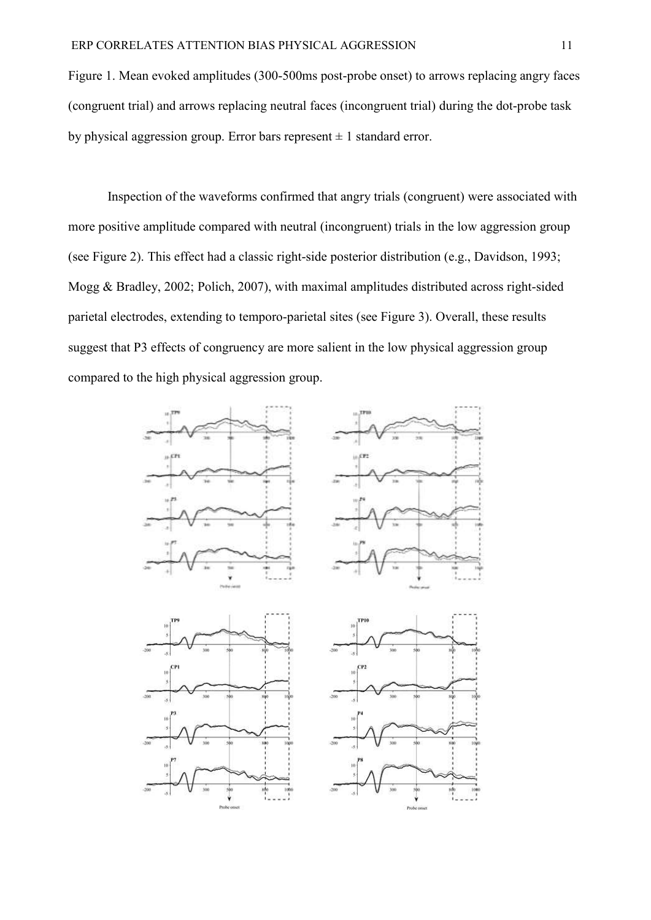Figure 1. Mean evoked amplitudes (300-500ms post-probe onset) to arrows replacing angry faces (congruent trial) and arrows replacing neutral faces (incongruent trial) during the dot-probe task by physical aggression group. Error bars represent  $\pm 1$  standard error.

Inspection of the waveforms confirmed that angry trials (congruent) were associated with more positive amplitude compared with neutral (incongruent) trials in the low aggression group (see Figure 2). This effect had a classic right-side posterior distribution (e.g., Davidson, 1993; Mogg & Bradley, 2002; Polich, 2007), with maximal amplitudes distributed across right-sided parietal electrodes, extending to temporo-parietal sites (see Figure 3). Overall, these results suggest that P3 effects of congruency are more salient in the low physical aggression group compared to the high physical aggression group.

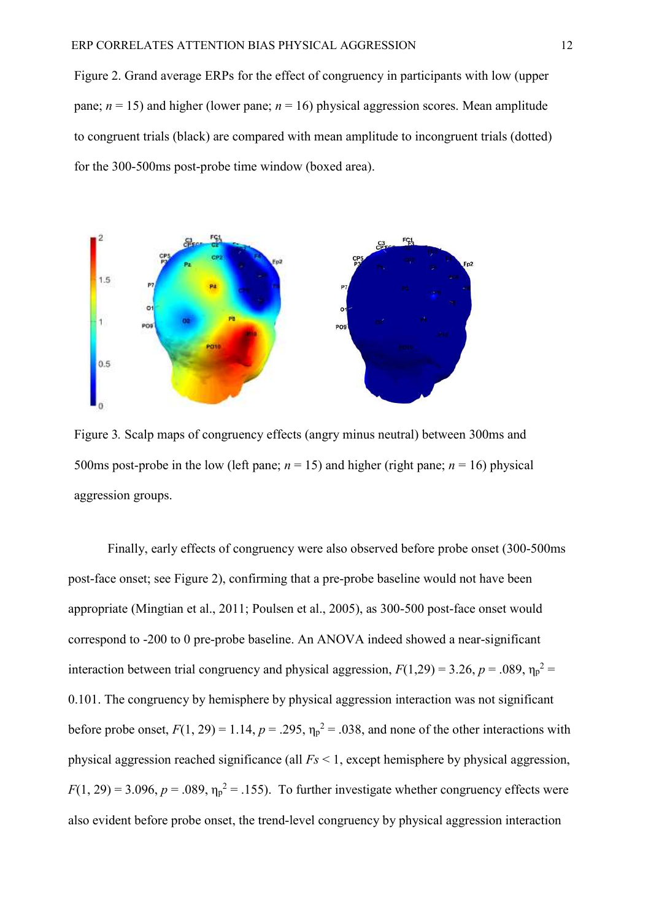Figure 2. Grand average ERPs for the effect of congruency in participants with low (upper pane;  $n = 15$ ) and higher (lower pane;  $n = 16$ ) physical aggression scores. Mean amplitude to congruent trials (black) are compared with mean amplitude to incongruent trials (dotted) for the 300-500ms post-probe time window (boxed area).



Figure 3*.* Scalp maps of congruency effects (angry minus neutral) between 300ms and 500ms post-probe in the low (left pane;  $n = 15$ ) and higher (right pane;  $n = 16$ ) physical aggression groups.

Finally, early effects of congruency were also observed before probe onset (300-500ms post-face onset; see Figure 2), confirming that a pre-probe baseline would not have been appropriate (Mingtian et al., 2011; Poulsen et al., 2005), as 300-500 post-face onset would correspond to -200 to 0 pre-probe baseline. An ANOVA indeed showed a near-significant interaction between trial congruency and physical aggression,  $F(1,29) = 3.26$ ,  $p = .089$ ,  $\eta_p^2 =$ 0.101. The congruency by hemisphere by physical aggression interaction was not significant before probe onset,  $F(1, 29) = 1.14$ ,  $p = .295$ ,  $\eta_p^2 = .038$ , and none of the other interactions with physical aggression reached significance (all *Fs* < 1, except hemisphere by physical aggression,  $F(1, 29) = 3.096$ ,  $p = .089$ ,  $\eta_p^2 = .155$ ). To further investigate whether congruency effects were also evident before probe onset, the trend-level congruency by physical aggression interaction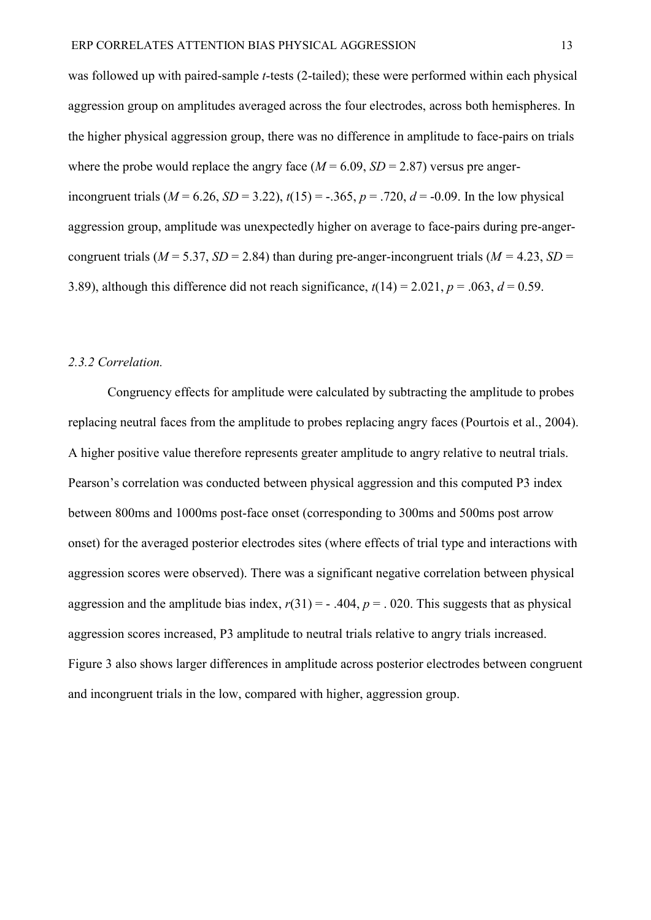was followed up with paired-sample *t*-tests (2-tailed); these were performed within each physical aggression group on amplitudes averaged across the four electrodes, across both hemispheres. In the higher physical aggression group, there was no difference in amplitude to face-pairs on trials where the probe would replace the angry face  $(M = 6.09, SD = 2.87)$  versus pre angerincongruent trials ( $M = 6.26$ ,  $SD = 3.22$ ),  $t(15) = -.365$ ,  $p = .720$ ,  $d = -0.09$ . In the low physical aggression group, amplitude was unexpectedly higher on average to face-pairs during pre-angercongruent trials ( $M = 5.37$ ,  $SD = 2.84$ ) than during pre-anger-incongruent trials ( $M = 4.23$ ,  $SD =$ 3.89), although this difference did not reach significance,  $t(14) = 2.021$ ,  $p = .063$ ,  $d = 0.59$ .

### *2.3.2 Correlation.*

Congruency effects for amplitude were calculated by subtracting the amplitude to probes replacing neutral faces from the amplitude to probes replacing angry faces (Pourtois et al., 2004). A higher positive value therefore represents greater amplitude to angry relative to neutral trials. Pearson's correlation was conducted between physical aggression and this computed P3 index between 800ms and 1000ms post-face onset (corresponding to 300ms and 500ms post arrow onset) for the averaged posterior electrodes sites (where effects of trial type and interactions with aggression scores were observed). There was a significant negative correlation between physical aggression and the amplitude bias index,  $r(31) = -0.404$ ,  $p = 0.020$ . This suggests that as physical aggression scores increased, P3 amplitude to neutral trials relative to angry trials increased. Figure 3 also shows larger differences in amplitude across posterior electrodes between congruent and incongruent trials in the low, compared with higher, aggression group.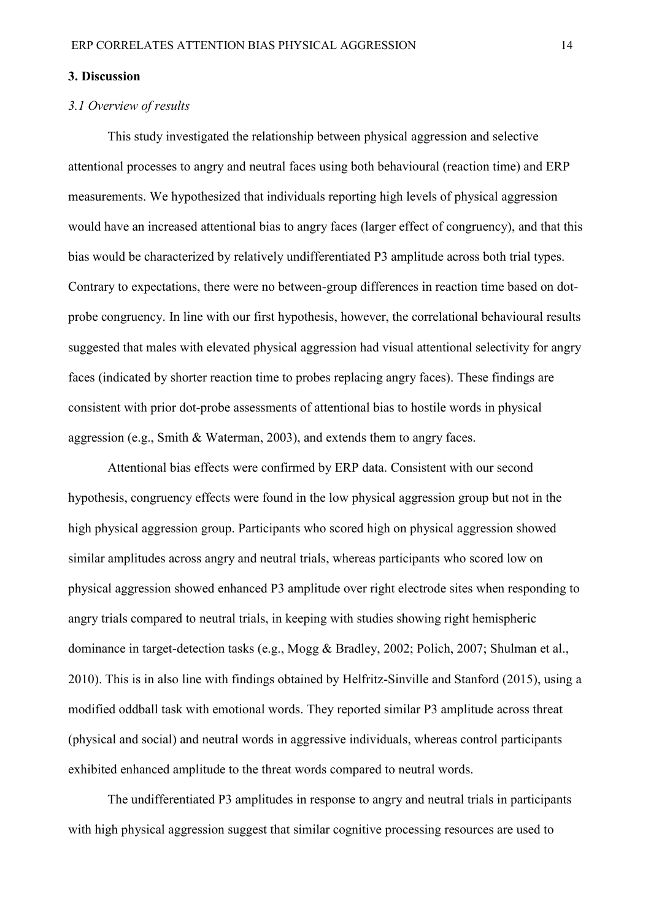#### **3. Discussion**

### *3.1 Overview of results*

This study investigated the relationship between physical aggression and selective attentional processes to angry and neutral faces using both behavioural (reaction time) and ERP measurements. We hypothesized that individuals reporting high levels of physical aggression would have an increased attentional bias to angry faces (larger effect of congruency), and that this bias would be characterized by relatively undifferentiated P3 amplitude across both trial types. Contrary to expectations, there were no between-group differences in reaction time based on dotprobe congruency. In line with our first hypothesis, however, the correlational behavioural results suggested that males with elevated physical aggression had visual attentional selectivity for angry faces (indicated by shorter reaction time to probes replacing angry faces). These findings are consistent with prior dot-probe assessments of attentional bias to hostile words in physical aggression (e.g., Smith & Waterman, 2003), and extends them to angry faces.

Attentional bias effects were confirmed by ERP data. Consistent with our second hypothesis, congruency effects were found in the low physical aggression group but not in the high physical aggression group. Participants who scored high on physical aggression showed similar amplitudes across angry and neutral trials, whereas participants who scored low on physical aggression showed enhanced P3 amplitude over right electrode sites when responding to angry trials compared to neutral trials, in keeping with studies showing right hemispheric dominance in target-detection tasks (e.g., Mogg & Bradley, 2002; Polich, 2007; Shulman et al., 2010). This is in also line with findings obtained by Helfritz-Sinville and Stanford (2015), using a modified oddball task with emotional words. They reported similar P3 amplitude across threat (physical and social) and neutral words in aggressive individuals, whereas control participants exhibited enhanced amplitude to the threat words compared to neutral words.

The undifferentiated P3 amplitudes in response to angry and neutral trials in participants with high physical aggression suggest that similar cognitive processing resources are used to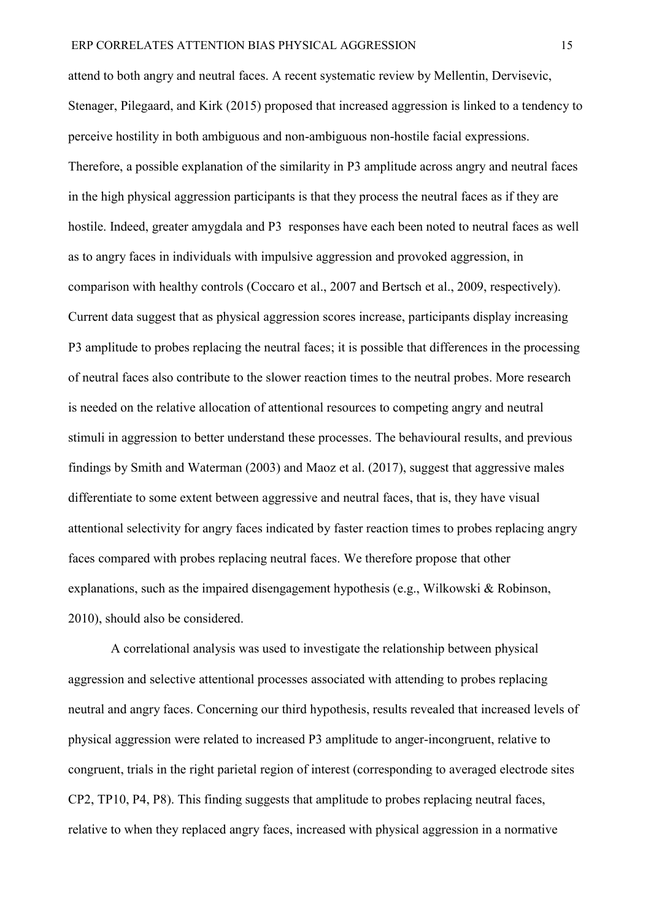attend to both angry and neutral faces. A recent systematic review by Mellentin, Dervisevic, Stenager, Pilegaard, and Kirk (2015) proposed that increased aggression is linked to a tendency to perceive hostility in both ambiguous and non-ambiguous non-hostile facial expressions. Therefore, a possible explanation of the similarity in P3 amplitude across angry and neutral faces in the high physical aggression participants is that they process the neutral faces as if they are hostile. Indeed, greater amygdala and P3 responses have each been noted to neutral faces as well as to angry faces in individuals with impulsive aggression and provoked aggression, in comparison with healthy controls (Coccaro et al., 2007 and Bertsch et al., 2009, respectively). Current data suggest that as physical aggression scores increase, participants display increasing P3 amplitude to probes replacing the neutral faces; it is possible that differences in the processing of neutral faces also contribute to the slower reaction times to the neutral probes. More research is needed on the relative allocation of attentional resources to competing angry and neutral stimuli in aggression to better understand these processes. The behavioural results, and previous findings by Smith and Waterman (2003) and Maoz et al. (2017), suggest that aggressive males differentiate to some extent between aggressive and neutral faces, that is, they have visual attentional selectivity for angry faces indicated by faster reaction times to probes replacing angry faces compared with probes replacing neutral faces. We therefore propose that other explanations, such as the impaired disengagement hypothesis (e.g., Wilkowski & Robinson, 2010), should also be considered.

A correlational analysis was used to investigate the relationship between physical aggression and selective attentional processes associated with attending to probes replacing neutral and angry faces. Concerning our third hypothesis, results revealed that increased levels of physical aggression were related to increased P3 amplitude to anger-incongruent, relative to congruent, trials in the right parietal region of interest (corresponding to averaged electrode sites CP2, TP10, P4, P8). This finding suggests that amplitude to probes replacing neutral faces, relative to when they replaced angry faces, increased with physical aggression in a normative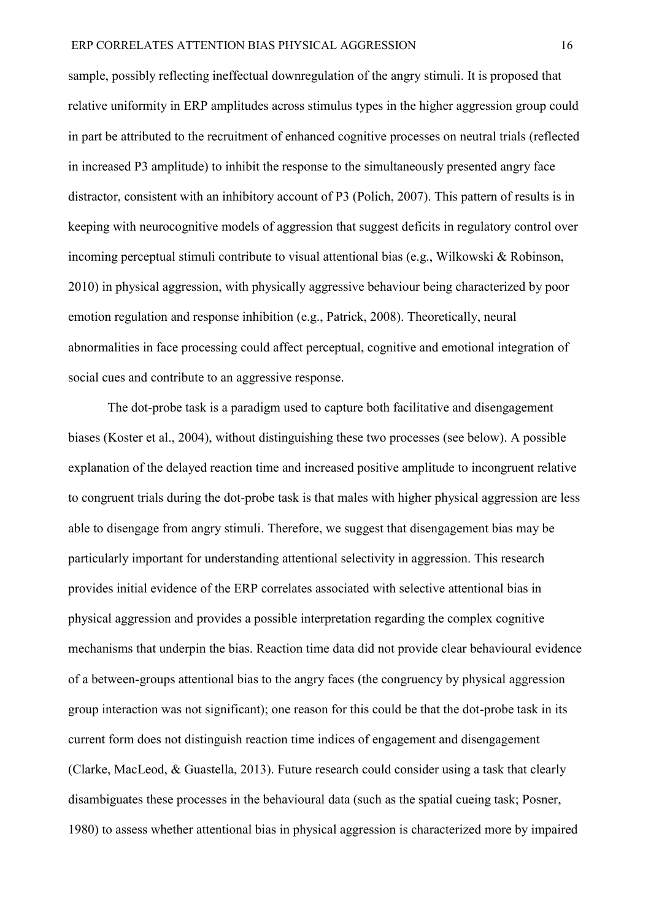sample, possibly reflecting ineffectual downregulation of the angry stimuli. It is proposed that relative uniformity in ERP amplitudes across stimulus types in the higher aggression group could in part be attributed to the recruitment of enhanced cognitive processes on neutral trials (reflected in increased P3 amplitude) to inhibit the response to the simultaneously presented angry face distractor, consistent with an inhibitory account of P3 (Polich, 2007). This pattern of results is in keeping with neurocognitive models of aggression that suggest deficits in regulatory control over incoming perceptual stimuli contribute to visual attentional bias (e.g., Wilkowski & Robinson, 2010) in physical aggression, with physically aggressive behaviour being characterized by poor emotion regulation and response inhibition (e.g., Patrick, 2008). Theoretically, neural abnormalities in face processing could affect perceptual, cognitive and emotional integration of social cues and contribute to an aggressive response.

The dot-probe task is a paradigm used to capture both facilitative and disengagement biases (Koster et al., 2004), without distinguishing these two processes (see below). A possible explanation of the delayed reaction time and increased positive amplitude to incongruent relative to congruent trials during the dot-probe task is that males with higher physical aggression are less able to disengage from angry stimuli. Therefore, we suggest that disengagement bias may be particularly important for understanding attentional selectivity in aggression. This research provides initial evidence of the ERP correlates associated with selective attentional bias in physical aggression and provides a possible interpretation regarding the complex cognitive mechanisms that underpin the bias. Reaction time data did not provide clear behavioural evidence of a between-groups attentional bias to the angry faces (the congruency by physical aggression group interaction was not significant); one reason for this could be that the dot-probe task in its current form does not distinguish reaction time indices of engagement and disengagement (Clarke, MacLeod, & Guastella, 2013). Future research could consider using a task that clearly disambiguates these processes in the behavioural data (such as the spatial cueing task; Posner, 1980) to assess whether attentional bias in physical aggression is characterized more by impaired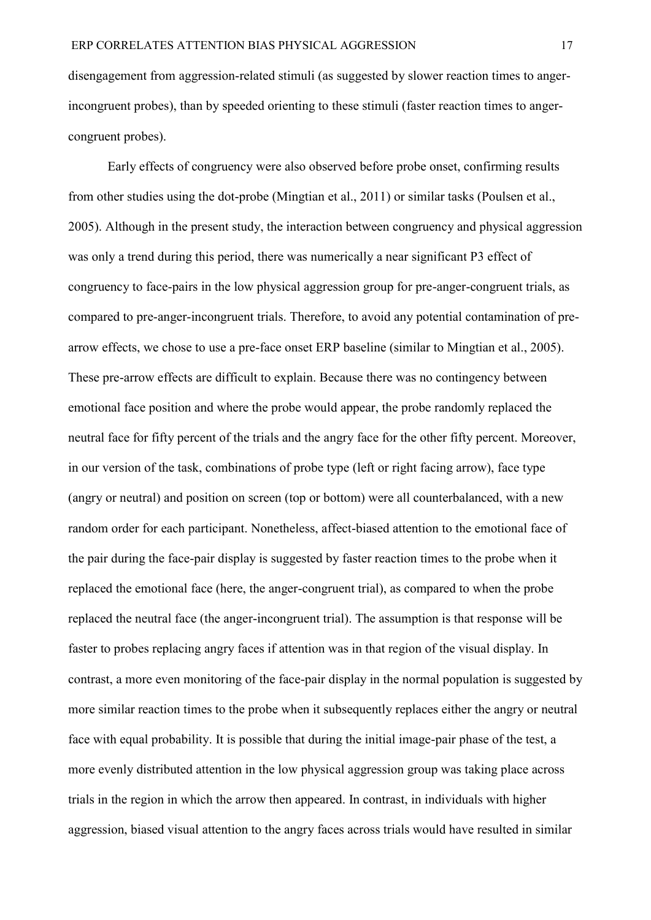disengagement from aggression-related stimuli (as suggested by slower reaction times to angerincongruent probes), than by speeded orienting to these stimuli (faster reaction times to angercongruent probes).

Early effects of congruency were also observed before probe onset, confirming results from other studies using the dot-probe (Mingtian et al., 2011) or similar tasks (Poulsen et al., 2005). Although in the present study, the interaction between congruency and physical aggression was only a trend during this period, there was numerically a near significant P3 effect of congruency to face-pairs in the low physical aggression group for pre-anger-congruent trials, as compared to pre-anger-incongruent trials. Therefore, to avoid any potential contamination of prearrow effects, we chose to use a pre-face onset ERP baseline (similar to Mingtian et al., 2005). These pre-arrow effects are difficult to explain. Because there was no contingency between emotional face position and where the probe would appear, the probe randomly replaced the neutral face for fifty percent of the trials and the angry face for the other fifty percent. Moreover, in our version of the task, combinations of probe type (left or right facing arrow), face type (angry or neutral) and position on screen (top or bottom) were all counterbalanced, with a new random order for each participant. Nonetheless, affect-biased attention to the emotional face of the pair during the face-pair display is suggested by faster reaction times to the probe when it replaced the emotional face (here, the anger-congruent trial), as compared to when the probe replaced the neutral face (the anger-incongruent trial). The assumption is that response will be faster to probes replacing angry faces if attention was in that region of the visual display. In contrast, a more even monitoring of the face-pair display in the normal population is suggested by more similar reaction times to the probe when it subsequently replaces either the angry or neutral face with equal probability. It is possible that during the initial image-pair phase of the test, a more evenly distributed attention in the low physical aggression group was taking place across trials in the region in which the arrow then appeared. In contrast, in individuals with higher aggression, biased visual attention to the angry faces across trials would have resulted in similar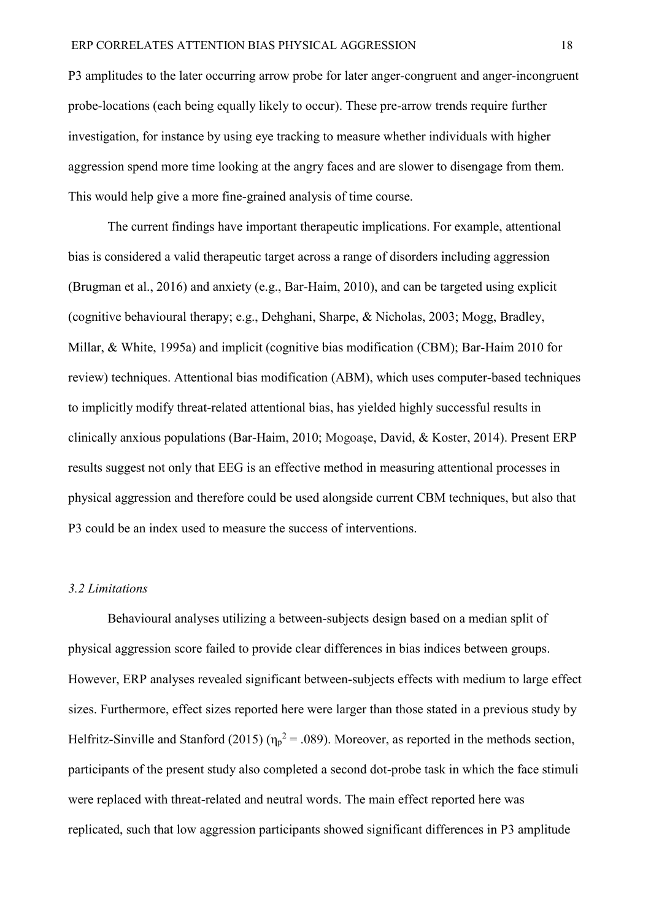P3 amplitudes to the later occurring arrow probe for later anger-congruent and anger-incongruent probe-locations (each being equally likely to occur). These pre-arrow trends require further investigation, for instance by using eye tracking to measure whether individuals with higher aggression spend more time looking at the angry faces and are slower to disengage from them. This would help give a more fine-grained analysis of time course.

The current findings have important therapeutic implications. For example, attentional bias is considered a valid therapeutic target across a range of disorders including aggression (Brugman et al., 2016) and anxiety (e.g., Bar-Haim, 2010), and can be targeted using explicit (cognitive behavioural therapy; e.g., Dehghani, Sharpe, & Nicholas, 2003; Mogg, Bradley, Millar, & White, 1995a) and implicit (cognitive bias modification (CBM); Bar-Haim 2010 for review) techniques. Attentional bias modification (ABM), which uses computer-based techniques to implicitly modify threat-related attentional bias, has yielded highly successful results in clinically anxious populations (Bar-Haim, 2010; Mogoaşe, David, & Koster, 2014). Present ERP results suggest not only that EEG is an effective method in measuring attentional processes in physical aggression and therefore could be used alongside current CBM techniques, but also that P3 could be an index used to measure the success of interventions.

#### *3.2 Limitations*

Behavioural analyses utilizing a between-subjects design based on a median split of physical aggression score failed to provide clear differences in bias indices between groups. However, ERP analyses revealed significant between-subjects effects with medium to large effect sizes. Furthermore, effect sizes reported here were larger than those stated in a previous study by Helfritz-Sinville and Stanford (2015) ( $\eta_p^2 = .089$ ). Moreover, as reported in the methods section, participants of the present study also completed a second dot-probe task in which the face stimuli were replaced with threat-related and neutral words. The main effect reported here was replicated, such that low aggression participants showed significant differences in P3 amplitude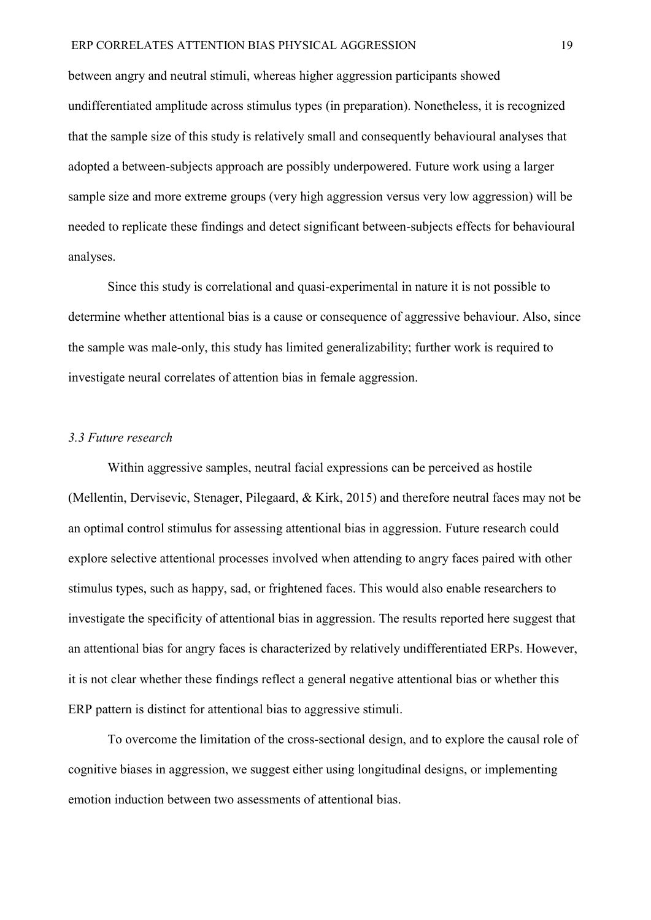between angry and neutral stimuli, whereas higher aggression participants showed undifferentiated amplitude across stimulus types (in preparation). Nonetheless, it is recognized that the sample size of this study is relatively small and consequently behavioural analyses that adopted a between-subjects approach are possibly underpowered. Future work using a larger sample size and more extreme groups (very high aggression versus very low aggression) will be needed to replicate these findings and detect significant between-subjects effects for behavioural analyses.

Since this study is correlational and quasi-experimental in nature it is not possible to determine whether attentional bias is a cause or consequence of aggressive behaviour. Also, since the sample was male-only, this study has limited generalizability; further work is required to investigate neural correlates of attention bias in female aggression.

### *3.3 Future research*

Within aggressive samples, neutral facial expressions can be perceived as hostile (Mellentin, Dervisevic, Stenager, Pilegaard, & Kirk, 2015) and therefore neutral faces may not be an optimal control stimulus for assessing attentional bias in aggression. Future research could explore selective attentional processes involved when attending to angry faces paired with other stimulus types, such as happy, sad, or frightened faces. This would also enable researchers to investigate the specificity of attentional bias in aggression. The results reported here suggest that an attentional bias for angry faces is characterized by relatively undifferentiated ERPs. However, it is not clear whether these findings reflect a general negative attentional bias or whether this ERP pattern is distinct for attentional bias to aggressive stimuli.

To overcome the limitation of the cross-sectional design, and to explore the causal role of cognitive biases in aggression, we suggest either using longitudinal designs, or implementing emotion induction between two assessments of attentional bias.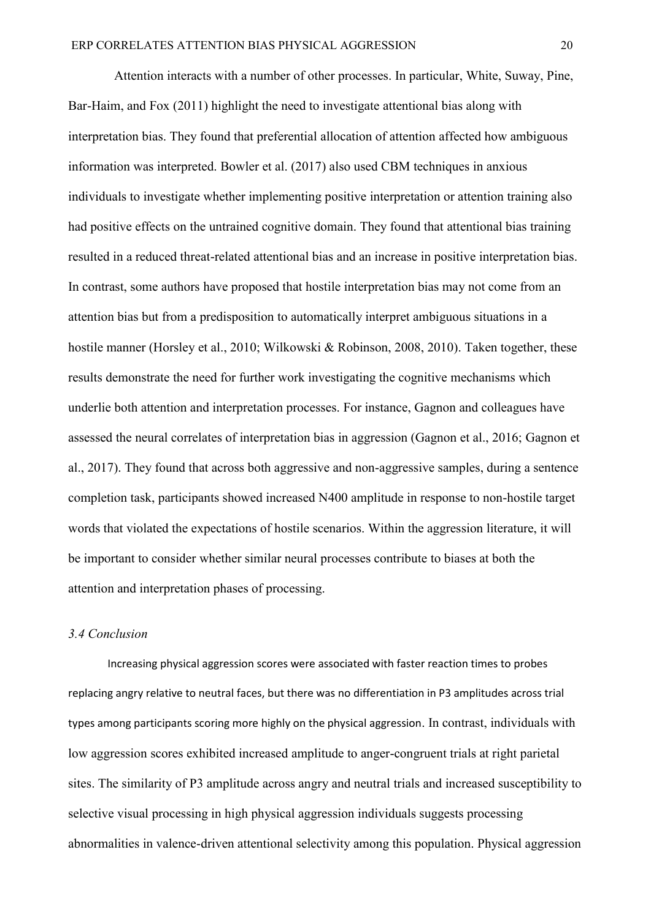Attention interacts with a number of other processes. In particular, White, Suway, Pine, Bar-Haim, and Fox (2011) highlight the need to investigate attentional bias along with interpretation bias. They found that preferential allocation of attention affected how ambiguous information was interpreted. Bowler et al. (2017) also used CBM techniques in anxious individuals to investigate whether implementing positive interpretation or attention training also had positive effects on the untrained cognitive domain. They found that attentional bias training resulted in a reduced threat-related attentional bias and an increase in positive interpretation bias. In contrast, some authors have proposed that hostile interpretation bias may not come from an attention bias but from a predisposition to automatically interpret ambiguous situations in a hostile manner (Horsley et al., 2010; Wilkowski & Robinson, 2008, 2010). Taken together, these results demonstrate the need for further work investigating the cognitive mechanisms which underlie both attention and interpretation processes. For instance, Gagnon and colleagues have assessed the neural correlates of interpretation bias in aggression (Gagnon et al., 2016; Gagnon et al., 2017). They found that across both aggressive and non-aggressive samples, during a sentence completion task, participants showed increased N400 amplitude in response to non-hostile target words that violated the expectations of hostile scenarios. Within the aggression literature, it will be important to consider whether similar neural processes contribute to biases at both the attention and interpretation phases of processing.

## *3.4 Conclusion*

Increasing physical aggression scores were associated with faster reaction times to probes replacing angry relative to neutral faces, but there was no differentiation in P3 amplitudes across trial types among participants scoring more highly on the physical aggression. In contrast, individuals with low aggression scores exhibited increased amplitude to anger-congruent trials at right parietal sites. The similarity of P3 amplitude across angry and neutral trials and increased susceptibility to selective visual processing in high physical aggression individuals suggests processing abnormalities in valence-driven attentional selectivity among this population. Physical aggression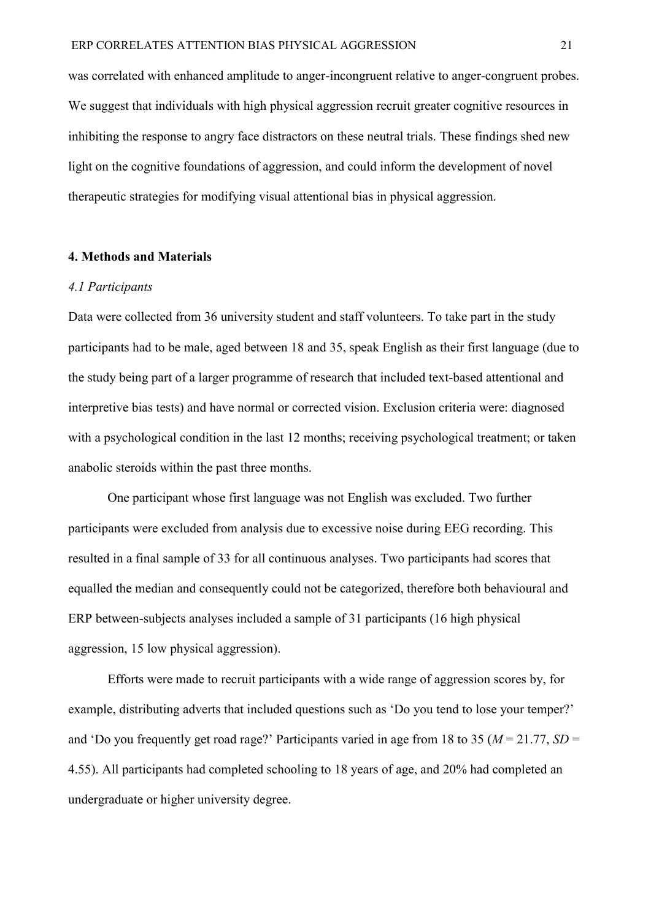was correlated with enhanced amplitude to anger-incongruent relative to anger-congruent probes. We suggest that individuals with high physical aggression recruit greater cognitive resources in inhibiting the response to angry face distractors on these neutral trials. These findings shed new light on the cognitive foundations of aggression, and could inform the development of novel therapeutic strategies for modifying visual attentional bias in physical aggression.

## **4. Methods and Materials**

### *4.1 Participants*

Data were collected from 36 university student and staff volunteers. To take part in the study participants had to be male, aged between 18 and 35, speak English as their first language (due to the study being part of a larger programme of research that included text-based attentional and interpretive bias tests) and have normal or corrected vision. Exclusion criteria were: diagnosed with a psychological condition in the last 12 months; receiving psychological treatment; or taken anabolic steroids within the past three months.

One participant whose first language was not English was excluded. Two further participants were excluded from analysis due to excessive noise during EEG recording. This resulted in a final sample of 33 for all continuous analyses. Two participants had scores that equalled the median and consequently could not be categorized, therefore both behavioural and ERP between-subjects analyses included a sample of 31 participants (16 high physical aggression, 15 low physical aggression).

Efforts were made to recruit participants with a wide range of aggression scores by, for example, distributing adverts that included questions such as 'Do you tend to lose your temper?' and 'Do you frequently get road rage?' Participants varied in age from 18 to 35 (*M* = 21.77, *SD* = 4.55). All participants had completed schooling to 18 years of age, and 20% had completed an undergraduate or higher university degree.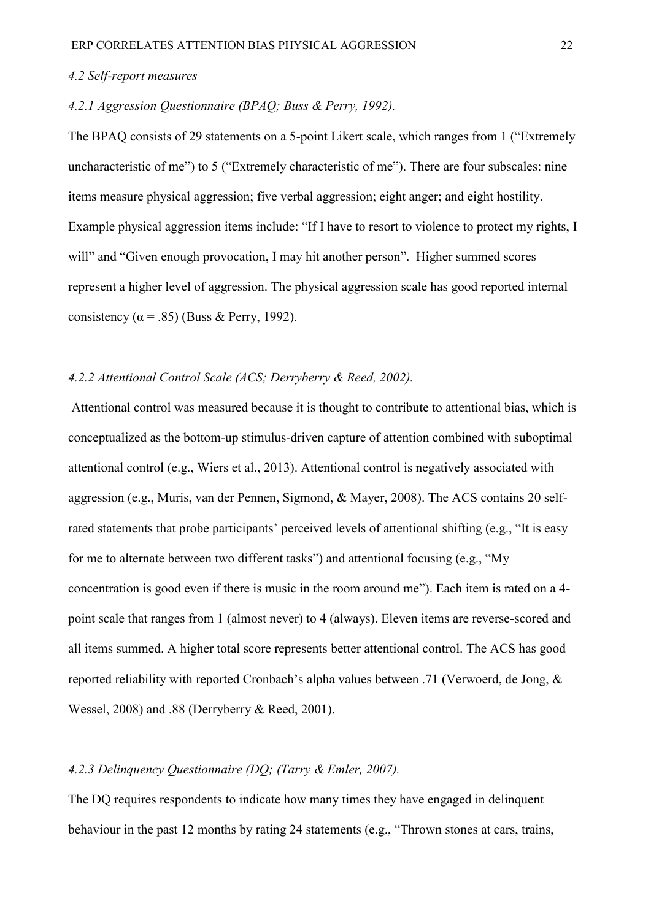### *4.2 Self-report measures*

# *4.2.1 Aggression Questionnaire (BPAQ; Buss & Perry, 1992).*

The BPAQ consists of 29 statements on a 5-point Likert scale, which ranges from 1 ("Extremely uncharacteristic of me") to 5 ("Extremely characteristic of me"). There are four subscales: nine items measure physical aggression; five verbal aggression; eight anger; and eight hostility. Example physical aggression items include: "If I have to resort to violence to protect my rights, I will" and "Given enough provocation, I may hit another person". Higher summed scores represent a higher level of aggression. The physical aggression scale has good reported internal consistency ( $\alpha$  = .85) (Buss & Perry, 1992).

# *4.2.2 Attentional Control Scale (ACS; Derryberry & Reed, 2002).*

Attentional control was measured because it is thought to contribute to attentional bias, which is conceptualized as the bottom-up stimulus-driven capture of attention combined with suboptimal attentional control (e.g., Wiers et al., 2013). Attentional control is negatively associated with aggression (e.g., Muris, van der Pennen, Sigmond, & Mayer, 2008). The ACS contains 20 selfrated statements that probe participants' perceived levels of attentional shifting (e.g., "It is easy for me to alternate between two different tasks") and attentional focusing (e.g., "My concentration is good even if there is music in the room around me"). Each item is rated on a 4 point scale that ranges from 1 (almost never) to 4 (always). Eleven items are reverse-scored and all items summed. A higher total score represents better attentional control. The ACS has good reported reliability with reported Cronbach's alpha values between .71 (Verwoerd, de Jong, & Wessel, 2008) and .88 (Derryberry & Reed, 2001).

### *4.2.3 Delinquency Questionnaire (DQ; (Tarry & Emler, 2007).*

The DQ requires respondents to indicate how many times they have engaged in delinquent behaviour in the past 12 months by rating 24 statements (e.g., "Thrown stones at cars, trains,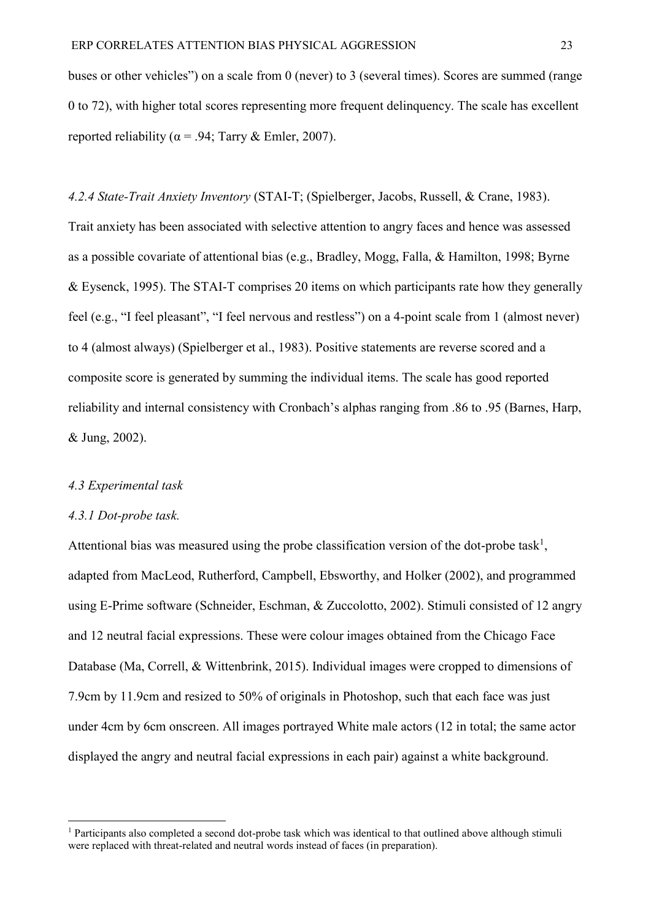buses or other vehicles") on a scale from 0 (never) to 3 (several times). Scores are summed (range 0 to 72), with higher total scores representing more frequent delinquency. The scale has excellent reported reliability ( $\alpha$  = .94; Tarry & Emler, 2007).

*4.2.4 State-Trait Anxiety Inventory* (STAI-T; (Spielberger, Jacobs, Russell, & Crane, 1983).

Trait anxiety has been associated with selective attention to angry faces and hence was assessed as a possible covariate of attentional bias (e.g., Bradley, Mogg, Falla, & Hamilton, 1998; Byrne & Eysenck, 1995). The STAI-T comprises 20 items on which participants rate how they generally feel (e.g., "I feel pleasant", "I feel nervous and restless") on a 4-point scale from 1 (almost never) to 4 (almost always) (Spielberger et al., 1983). Positive statements are reverse scored and a composite score is generated by summing the individual items. The scale has good reported reliability and internal consistency with Cronbach's alphas ranging from .86 to .95 (Barnes, Harp, & Jung, 2002).

## *4.3 Experimental task*

#### *4.3.1 Dot-probe task.*

 $\overline{a}$ 

Attentional bias was measured using the probe classification version of the dot-probe task<sup>1</sup>, adapted from MacLeod, Rutherford, Campbell, Ebsworthy, and Holker (2002), and programmed using E-Prime software (Schneider, Eschman, & Zuccolotto, 2002). Stimuli consisted of 12 angry and 12 neutral facial expressions. These were colour images obtained from the Chicago Face Database (Ma, Correll, & Wittenbrink, 2015). Individual images were cropped to dimensions of 7.9cm by 11.9cm and resized to 50% of originals in Photoshop, such that each face was just under 4cm by 6cm onscreen. All images portrayed White male actors (12 in total; the same actor displayed the angry and neutral facial expressions in each pair) against a white background.

<sup>&</sup>lt;sup>1</sup> Participants also completed a second dot-probe task which was identical to that outlined above although stimuli were replaced with threat-related and neutral words instead of faces (in preparation).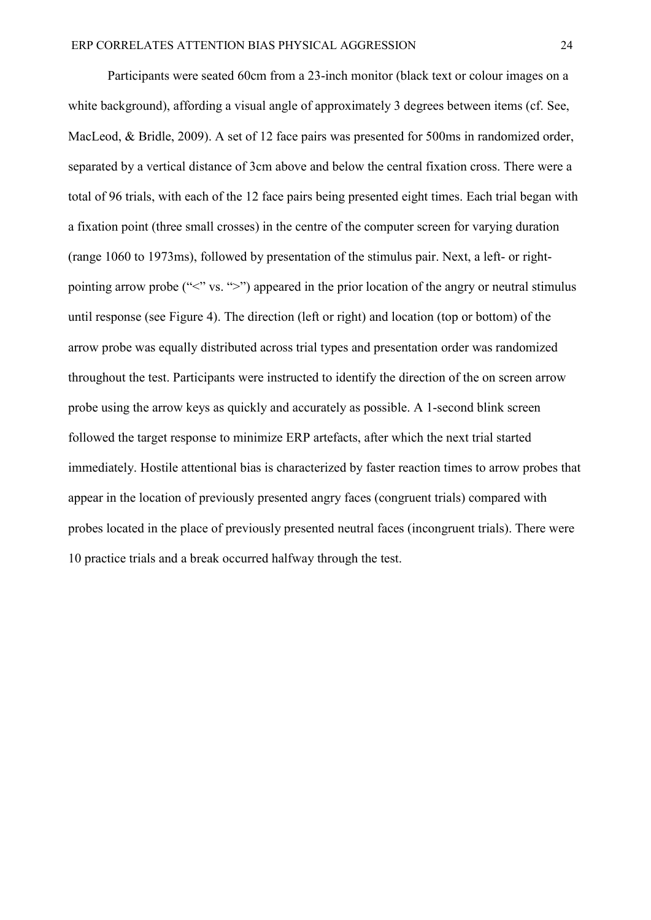Participants were seated 60cm from a 23-inch monitor (black text or colour images on a white background), affording a visual angle of approximately 3 degrees between items (cf. See, MacLeod, & Bridle, 2009). A set of 12 face pairs was presented for 500ms in randomized order, separated by a vertical distance of 3cm above and below the central fixation cross. There were a total of 96 trials, with each of the 12 face pairs being presented eight times. Each trial began with a fixation point (three small crosses) in the centre of the computer screen for varying duration (range 1060 to 1973ms), followed by presentation of the stimulus pair. Next, a left- or rightpointing arrow probe ("<" vs. ">") appeared in the prior location of the angry or neutral stimulus until response (see Figure 4). The direction (left or right) and location (top or bottom) of the arrow probe was equally distributed across trial types and presentation order was randomized throughout the test. Participants were instructed to identify the direction of the on screen arrow probe using the arrow keys as quickly and accurately as possible. A 1-second blink screen followed the target response to minimize ERP artefacts, after which the next trial started immediately. Hostile attentional bias is characterized by faster reaction times to arrow probes that appear in the location of previously presented angry faces (congruent trials) compared with probes located in the place of previously presented neutral faces (incongruent trials). There were 10 practice trials and a break occurred halfway through the test.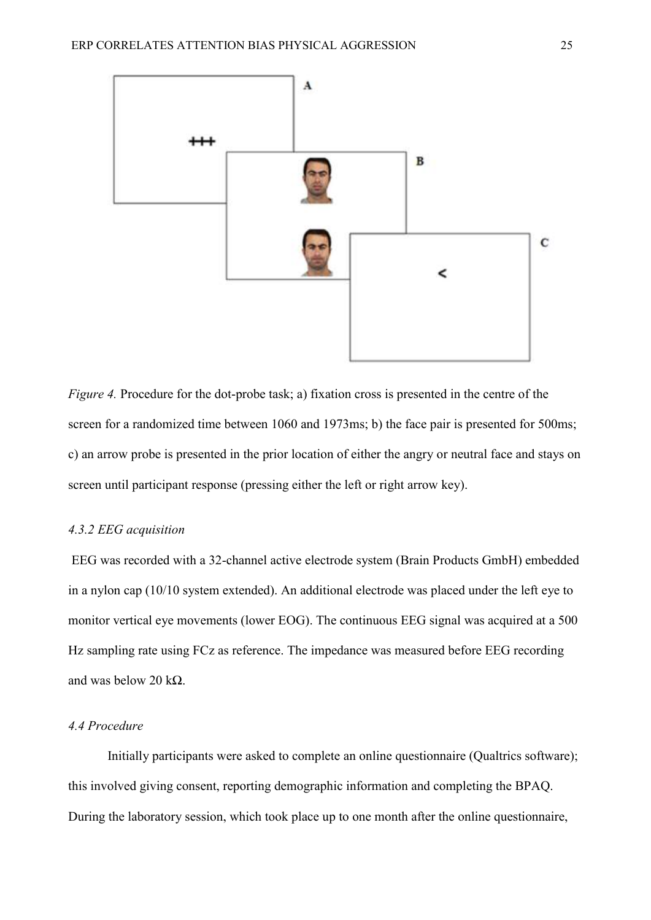

*Figure 4.* Procedure for the dot-probe task; a) fixation cross is presented in the centre of the screen for a randomized time between 1060 and 1973ms; b) the face pair is presented for 500ms; c) an arrow probe is presented in the prior location of either the angry or neutral face and stays on screen until participant response (pressing either the left or right arrow key).

### *4.3.2 EEG acquisition*

EEG was recorded with a 32-channel active electrode system (Brain Products GmbH) embedded in a nylon cap (10/10 system extended). An additional electrode was placed under the left eye to monitor vertical eye movements (lower EOG). The continuous EEG signal was acquired at a 500 Hz sampling rate using FCz as reference. The impedance was measured before EEG recording and was below 20 k $\Omega$ .

# *4.4 Procedure*

Initially participants were asked to complete an online questionnaire (Qualtrics software); this involved giving consent, reporting demographic information and completing the BPAQ. During the laboratory session, which took place up to one month after the online questionnaire,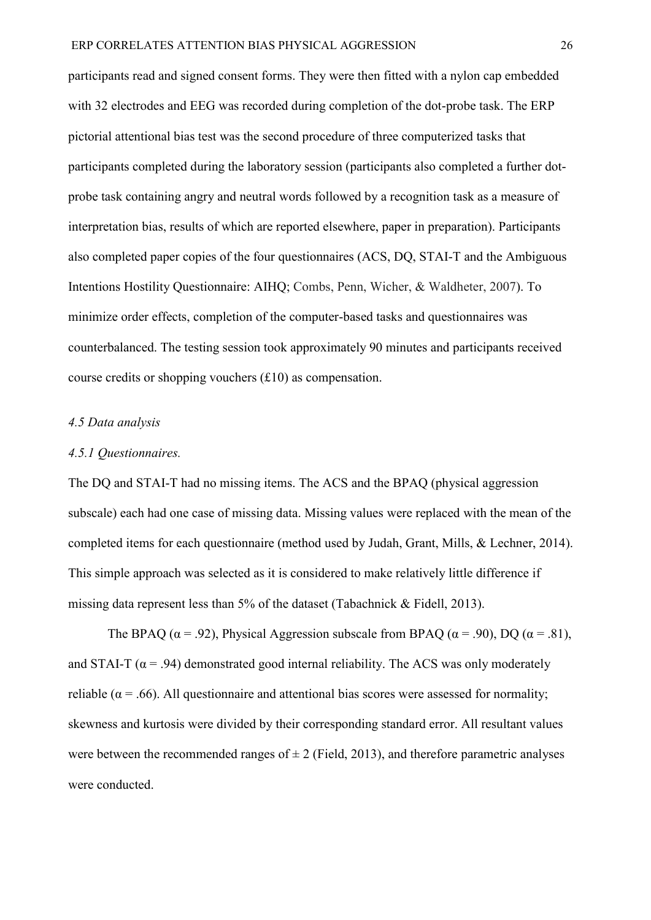participants read and signed consent forms. They were then fitted with a nylon cap embedded with 32 electrodes and EEG was recorded during completion of the dot-probe task. The ERP pictorial attentional bias test was the second procedure of three computerized tasks that participants completed during the laboratory session (participants also completed a further dotprobe task containing angry and neutral words followed by a recognition task as a measure of interpretation bias, results of which are reported elsewhere, paper in preparation). Participants also completed paper copies of the four questionnaires (ACS, DQ, STAI-T and the Ambiguous Intentions Hostility Questionnaire: AIHQ; Combs, Penn, Wicher, & Waldheter, 2007). To minimize order effects, completion of the computer-based tasks and questionnaires was counterbalanced. The testing session took approximately 90 minutes and participants received course credits or shopping vouchers  $(f10)$  as compensation.

### *4.5 Data analysis*

#### *4.5.1 Questionnaires.*

The DQ and STAI-T had no missing items. The ACS and the BPAQ (physical aggression subscale) each had one case of missing data. Missing values were replaced with the mean of the completed items for each questionnaire (method used by Judah, Grant, Mills, & Lechner, 2014). This simple approach was selected as it is considered to make relatively little difference if missing data represent less than 5% of the dataset (Tabachnick & Fidell, 2013).

The BPAQ ( $\alpha$  = .92), Physical Aggression subscale from BPAQ ( $\alpha$  = .90), DQ ( $\alpha$  = .81), and STAI-T ( $\alpha$  = .94) demonstrated good internal reliability. The ACS was only moderately reliable ( $\alpha$  = .66). All questionnaire and attentional bias scores were assessed for normality; skewness and kurtosis were divided by their corresponding standard error. All resultant values were between the recommended ranges of  $\pm 2$  (Field, 2013), and therefore parametric analyses were conducted.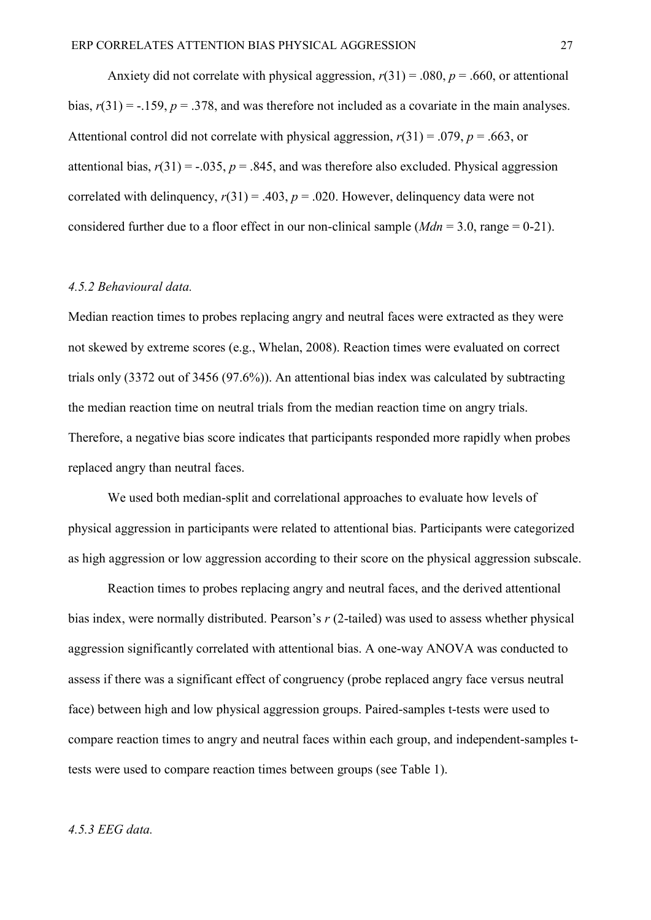Anxiety did not correlate with physical aggression,  $r(31) = .080$ ,  $p = .660$ , or attentional bias,  $r(31) = -.159$ ,  $p = .378$ , and was therefore not included as a covariate in the main analyses. Attentional control did not correlate with physical aggression,  $r(31) = .079$ ,  $p = .663$ , or attentional bias,  $r(31) = -.035$ ,  $p = .845$ , and was therefore also excluded. Physical aggression correlated with delinquency,  $r(31) = .403$ ,  $p = .020$ . However, delinquency data were not considered further due to a floor effect in our non-clinical sample (*Mdn* = 3.0, range = 0-21).

#### *4.5.2 Behavioural data.*

Median reaction times to probes replacing angry and neutral faces were extracted as they were not skewed by extreme scores (e.g., Whelan, 2008). Reaction times were evaluated on correct trials only (3372 out of 3456 (97.6%)). An attentional bias index was calculated by subtracting the median reaction time on neutral trials from the median reaction time on angry trials. Therefore, a negative bias score indicates that participants responded more rapidly when probes replaced angry than neutral faces.

We used both median-split and correlational approaches to evaluate how levels of physical aggression in participants were related to attentional bias. Participants were categorized as high aggression or low aggression according to their score on the physical aggression subscale.

Reaction times to probes replacing angry and neutral faces, and the derived attentional bias index, were normally distributed. Pearson's *r* (2-tailed) was used to assess whether physical aggression significantly correlated with attentional bias. A one-way ANOVA was conducted to assess if there was a significant effect of congruency (probe replaced angry face versus neutral face) between high and low physical aggression groups. Paired-samples t-tests were used to compare reaction times to angry and neutral faces within each group, and independent-samples ttests were used to compare reaction times between groups (see Table 1).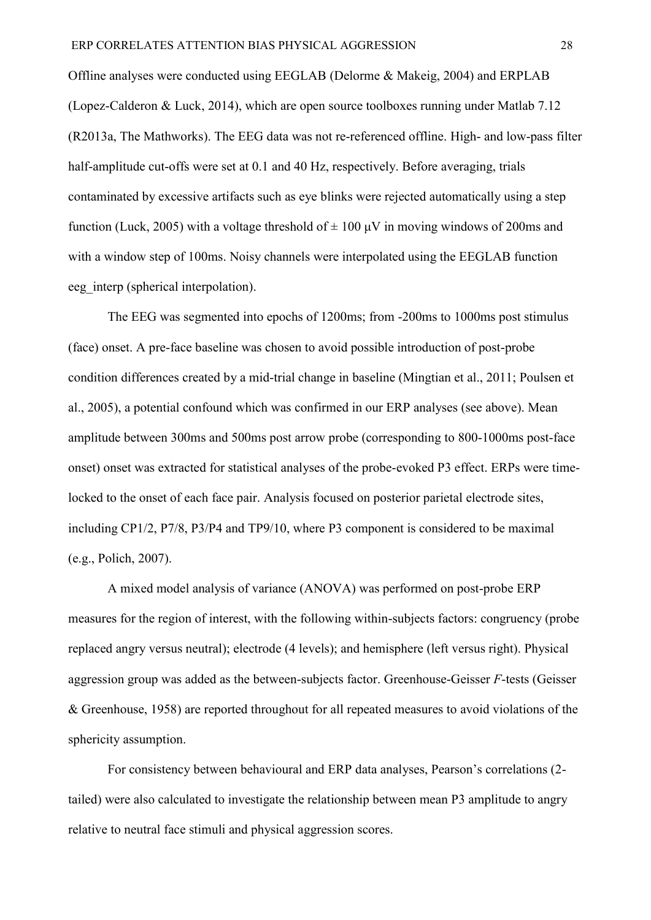Offline analyses were conducted using EEGLAB (Delorme & Makeig, 2004) and ERPLAB (Lopez-Calderon & Luck, 2014), which are open source toolboxes running under Matlab 7.12 (R2013a, The Mathworks). The EEG data was not re-referenced offline. High- and low-pass filter half-amplitude cut-offs were set at 0.1 and 40 Hz, respectively. Before averaging, trials contaminated by excessive artifacts such as eye blinks were rejected automatically using a step function (Luck, 2005) with a voltage threshold of  $\pm 100 \mu$ V in moving windows of 200ms and with a window step of 100ms. Noisy channels were interpolated using the EEGLAB function eeg\_interp (spherical interpolation).

The EEG was segmented into epochs of 1200ms; from -200ms to 1000ms post stimulus (face) onset. A pre-face baseline was chosen to avoid possible introduction of post-probe condition differences created by a mid-trial change in baseline (Mingtian et al., 2011; Poulsen et al., 2005), a potential confound which was confirmed in our ERP analyses (see above). Mean amplitude between 300ms and 500ms post arrow probe (corresponding to 800-1000ms post-face onset) onset was extracted for statistical analyses of the probe-evoked P3 effect. ERPs were timelocked to the onset of each face pair. Analysis focused on posterior parietal electrode sites, including CP1/2, P7/8, P3/P4 and TP9/10, where P3 component is considered to be maximal (e.g., Polich, 2007).

A mixed model analysis of variance (ANOVA) was performed on post-probe ERP measures for the region of interest, with the following within-subjects factors: congruency (probe replaced angry versus neutral); electrode (4 levels); and hemisphere (left versus right). Physical aggression group was added as the between-subjects factor. Greenhouse-Geisser *F*-tests (Geisser & Greenhouse, 1958) are reported throughout for all repeated measures to avoid violations of the sphericity assumption.

For consistency between behavioural and ERP data analyses, Pearson's correlations (2 tailed) were also calculated to investigate the relationship between mean P3 amplitude to angry relative to neutral face stimuli and physical aggression scores.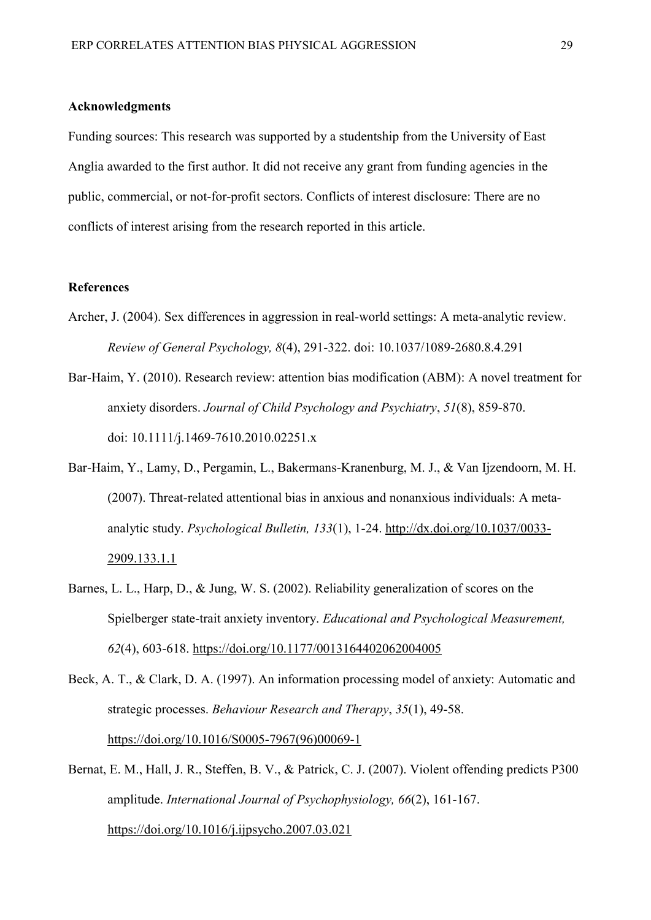#### **Acknowledgments**

Funding sources: This research was supported by a studentship from the University of East Anglia awarded to the first author. It did not receive any grant from funding agencies in the public, commercial, or not-for-profit sectors. Conflicts of interest disclosure: There are no conflicts of interest arising from the research reported in this article.

#### **References**

- Archer, J. (2004). Sex differences in aggression in real-world settings: A meta-analytic review. *Review of General Psychology, 8*(4), 291-322. doi: 10.1037/1089-2680.8.4.291
- Bar-Haim, Y. (2010). Research review: attention bias modification (ABM): A novel treatment for anxiety disorders. *Journal of Child Psychology and Psychiatry*, *51*(8), 859-870. doi: 10.1111/j.1469-7610.2010.02251.x
- Bar-Haim, Y., Lamy, D., Pergamin, L., Bakermans-Kranenburg, M. J., & Van Ijzendoorn, M. H. (2007). Threat-related attentional bias in anxious and nonanxious individuals: A metaanalytic study. *Psychological Bulletin, 133*(1), 1-24. [http://dx.doi.org/10.1037/0033-](http://psycnet.apa.org/doi/10.1037/0033-2909.133.1.1) [2909.133.1.1](http://psycnet.apa.org/doi/10.1037/0033-2909.133.1.1)
- Barnes, L. L., Harp, D., & Jung, W. S. (2002). Reliability generalization of scores on the Spielberger state-trait anxiety inventory. *Educational and Psychological Measurement, 62*(4), 603-618.<https://doi.org/10.1177/0013164402062004005>

Beck, A. T., & Clark, D. A. (1997). An information processing model of anxiety: Automatic and strategic processes. *Behaviour Research and Therapy*, *35*(1), 49-58. [https://doi.org/10.1016/S0005-7967\(96\)00069-1](https://doi.org/10.1016/S0005-7967(96)00069-1)

Bernat, E. M., Hall, J. R., Steffen, B. V., & Patrick, C. J. (2007). Violent offending predicts P300 amplitude. *International Journal of Psychophysiology, 66*(2), 161-167. <https://doi.org/10.1016/j.ijpsycho.2007.03.021>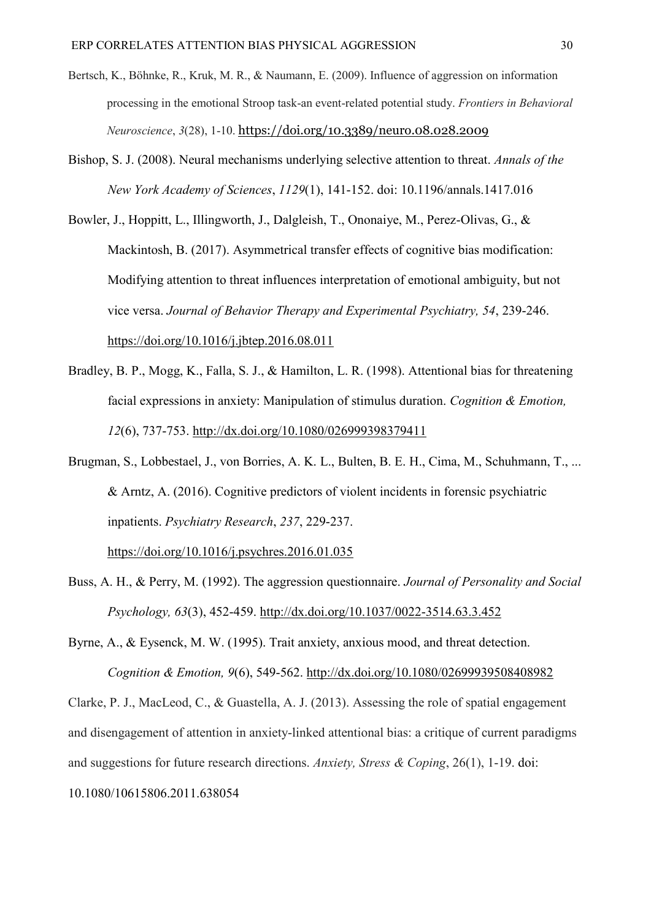- Bertsch, K., Böhnke, R., Kruk, M. R., & Naumann, E. (2009). Influence of aggression on information processing in the emotional Stroop task-an event-related potential study. *Frontiers in Behavioral Neuroscience*, *3*(28), 1-10. <https://doi.org/10.3389/neuro.08.028.2009>
- Bishop, S. J. (2008). Neural mechanisms underlying selective attention to threat. *Annals of the New York Academy of Sciences*, *1129*(1), 141-152. doi: 10.1196/annals.1417.016
- Bowler, J., Hoppitt, L., Illingworth, J., Dalgleish, T., Ononaiye, M., Perez-Olivas, G., & Mackintosh, B. (2017). Asymmetrical transfer effects of cognitive bias modification: Modifying attention to threat influences interpretation of emotional ambiguity, but not vice versa. *Journal of Behavior Therapy and Experimental Psychiatry, 54*, 239-246. <https://doi.org/10.1016/j.jbtep.2016.08.011>
- Bradley, B. P., Mogg, K., Falla, S. J., & Hamilton, L. R. (1998). Attentional bias for threatening facial expressions in anxiety: Manipulation of stimulus duration. *Cognition & Emotion, 12*(6), 737-753.<http://dx.doi.org/10.1080/026999398379411>
- Brugman, S., Lobbestael, J., von Borries, A. K. L., Bulten, B. E. H., Cima, M., Schuhmann, T., ... & Arntz, A. (2016). Cognitive predictors of violent incidents in forensic psychiatric inpatients. *Psychiatry Research*, *237*, 229-237.

<https://doi.org/10.1016/j.psychres.2016.01.035>

Buss, A. H., & Perry, M. (1992). The aggression questionnaire. *Journal of Personality and Social Psychology, 63*(3), 452-459. [http://dx.doi.org/10.1037/0022-3514.63.3.452](http://psycnet.apa.org/doi/10.1037/0022-3514.63.3.452)

Byrne, A., & Eysenck, M. W. (1995). Trait anxiety, anxious mood, and threat detection. *Cognition & Emotion, 9*(6), 549-562.<http://dx.doi.org/10.1080/02699939508408982>

Clarke, P. J., MacLeod, C., & Guastella, A. J. (2013). Assessing the role of spatial engagement and disengagement of attention in anxiety-linked attentional bias: a critique of current paradigms and suggestions for future research directions. *Anxiety, Stress & Coping*, 26(1), 1-19. doi: 10.1080/10615806.2011.638054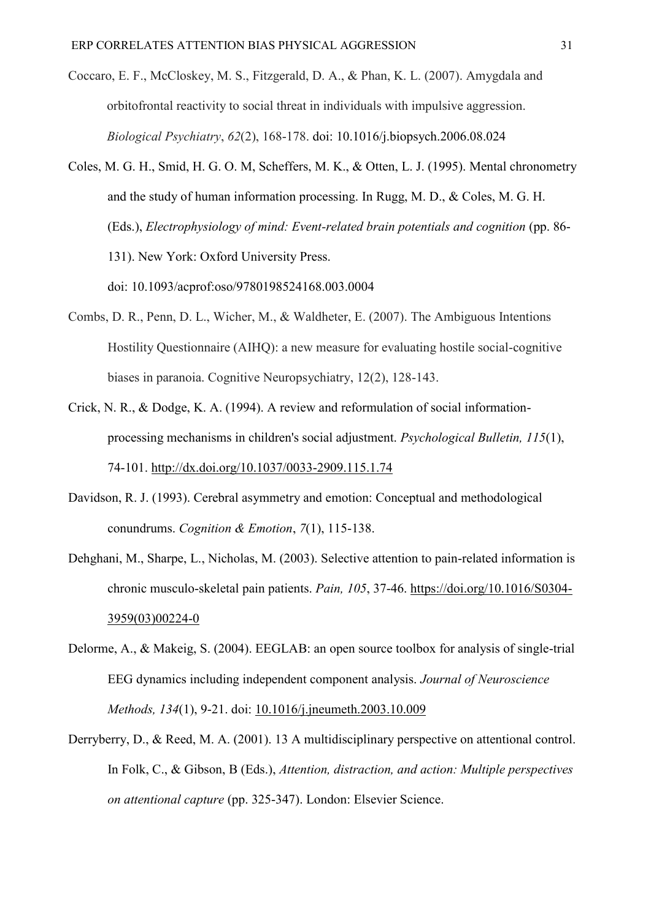- Coccaro, E. F., McCloskey, M. S., Fitzgerald, D. A., & Phan, K. L. (2007). Amygdala and orbitofrontal reactivity to social threat in individuals with impulsive aggression. *Biological Psychiatry*, *62*(2), 168-178. doi: [10.1016/j.biopsych.2006.08.024](https://doi.org/10.1016/j.biopsych.2006.08.024)
- Coles, M. G. H., Smid, H. G. O. M, Scheffers, M. K., & Otten, L. J. (1995). Mental chronometry and the study of human information processing. In Rugg, M. D., & Coles, M. G. H. (Eds.), *Electrophysiology of mind: Event-related brain potentials and cognition* (pp. 86- 131). New York: Oxford University Press. doi: 10.1093/acprof:oso/9780198524168.003.0004
- Combs, D. R., Penn, D. L., Wicher, M., & Waldheter, E. (2007). The Ambiguous Intentions Hostility Questionnaire (AIHQ): a new measure for evaluating hostile social-cognitive biases in paranoia. Cognitive Neuropsychiatry, 12(2), 128-143.
- Crick, N. R., & Dodge, K. A. (1994). A review and reformulation of social informationprocessing mechanisms in children's social adjustment. *Psychological Bulletin, 115*(1), 74-101. [http://dx.doi.org/10.1037/0033-2909.115.1.74](http://psycnet.apa.org/doi/10.1037/0033-2909.115.1.74)
- Davidson, R. J. (1993). Cerebral asymmetry and emotion: Conceptual and methodological conundrums. *Cognition & Emotion*, *7*(1), 115-138.
- Dehghani, M., Sharpe, L., Nicholas, M. (2003). Selective attention to pain-related information is chronic musculo-skeletal pain patients. *Pain, 105*, 37-46. [https://doi.org/10.1016/S0304-](https://doi.org/10.1016/S0304-3959(03)00224-0) [3959\(03\)00224-0](https://doi.org/10.1016/S0304-3959(03)00224-0)
- Delorme, A., & Makeig, S. (2004). EEGLAB: an open source toolbox for analysis of single-trial EEG dynamics including independent component analysis. *Journal of Neuroscience Methods, 134*(1), 9-21. doi: [10.1016/j.jneumeth.2003.10.009](https://doi.org/10.1016/j.jneumeth.2003.10.009)
- Derryberry, D., & Reed, M. A. (2001). 13 A multidisciplinary perspective on attentional control. In Folk, C., & Gibson, B (Eds.), *Attention, distraction, and action: Multiple perspectives on attentional capture* (pp. 325-347). London: Elsevier Science.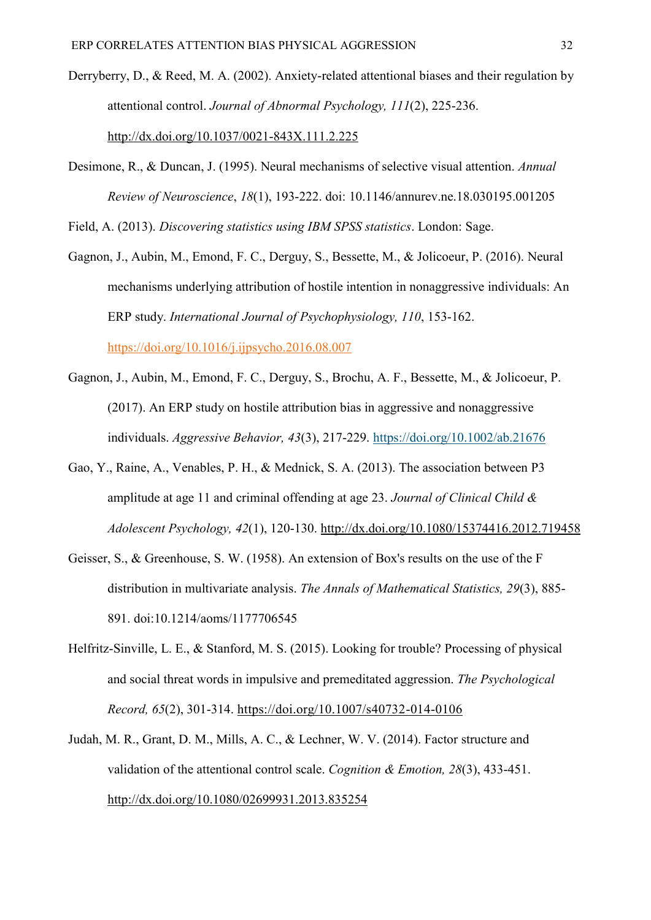- Derryberry, D., & Reed, M. A. (2002). Anxiety-related attentional biases and their regulation by attentional control. *Journal of Abnormal Psychology, 111*(2), 225-236. [http://dx.doi.org/10.1037/0021-843X.111.2.225](http://psycnet.apa.org/doi/10.1037/0021-843X.111.2.225)
- Desimone, R., & Duncan, J. (1995). Neural mechanisms of selective visual attention. *Annual Review of Neuroscience*, *18*(1), 193-222. doi: [10.1146/annurev.ne.18.030195.001205](https://doi.org/10.1146/annurev.ne.18.030195.001205)

Field, A. (2013). *Discovering statistics using IBM SPSS statistics*. London: Sage.

- Gagnon, J., Aubin, M., Emond, F. C., Derguy, S., Bessette, M., & Jolicoeur, P. (2016). Neural mechanisms underlying attribution of hostile intention in nonaggressive individuals: An ERP study. *International Journal of Psychophysiology, 110*, 153-162. <https://doi.org/10.1016/j.ijpsycho.2016.08.007>
- Gagnon, J., Aubin, M., Emond, F. C., Derguy, S., Brochu, A. F., Bessette, M., & Jolicoeur, P. (2017). An ERP study on hostile attribution bias in aggressive and nonaggressive individuals. *Aggressive Behavior, 43*(3), 217-229. https://doi.org/10.1002/ab.21676
- Gao, Y., Raine, A., Venables, P. H., & Mednick, S. A. (2013). The association between P3 amplitude at age 11 and criminal offending at age 23. *Journal of Clinical Child & Adolescent Psychology, 42*(1), 120-130. http://dx.doi.org/10.1080/15374416.2012.719458
- Geisser, S., & Greenhouse, S. W. (1958). An extension of Box's results on the use of the F distribution in multivariate analysis. *The Annals of Mathematical Statistics, 29*(3), 885- 891. doi:10.1214/aoms/1177706545
- Helfritz-Sinville, L. E., & Stanford, M. S. (2015). Looking for trouble? Processing of physical and social threat words in impulsive and premeditated aggression. *The Psychological Record, 65*(2), 301-314. https://doi.org/10.1007/s40732-014-0106
- Judah, M. R., Grant, D. M., Mills, A. C., & Lechner, W. V. (2014). Factor structure and validation of the attentional control scale. *Cognition & Emotion, 28*(3), 433-451. <http://dx.doi.org/10.1080/02699931.2013.835254>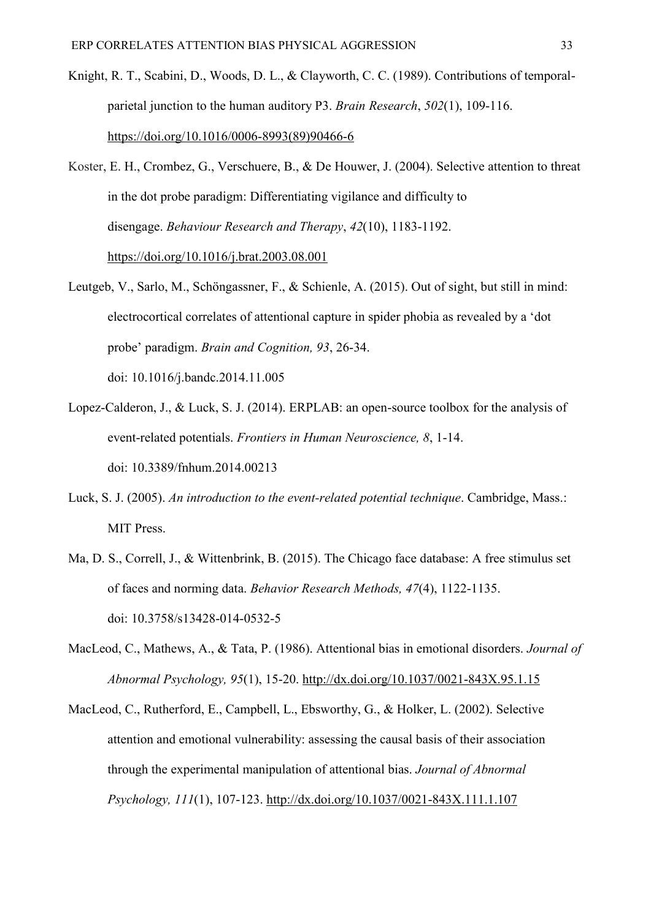- Knight, R. T., Scabini, D., Woods, D. L., & Clayworth, C. C. (1989). Contributions of temporalparietal junction to the human auditory P3. *Brain Research*, *502*(1), 109-116. [https://doi.org/10.1016/0006-8993\(89\)90466-6](https://doi.org/10.1016/0006-8993(89)90466-6)
- Koster, E. H., Crombez, G., Verschuere, B., & De Houwer, J. (2004). Selective attention to threat in the dot probe paradigm: Differentiating vigilance and difficulty to disengage. *Behaviour Research and Therapy*, *42*(10), 1183-1192. <https://doi.org/10.1016/j.brat.2003.08.001>
- Leutgeb, V., Sarlo, M., Schöngassner, F., & Schienle, A. (2015). Out of sight, but still in mind: electrocortical correlates of attentional capture in spider phobia as revealed by a 'dot probe' paradigm. *Brain and Cognition, 93*, 26-34. doi: [10.1016/j.bandc.2014.11.005](https://doi.org/10.1016/j.bandc.2014.11.005)
- Lopez-Calderon, J., & Luck, S. J. (2014). ERPLAB: an open-source toolbox for the analysis of event-related potentials. *Frontiers in Human Neuroscience, 8*, 1-14. doi: [10.3389/fnhum.2014.00213](https://dx.doi.org/10.3389%2Ffnhum.2014.00213)
- Luck, S. J. (2005). *An introduction to the event-related potential technique*. Cambridge, Mass.: MIT Press.
- Ma, D. S., Correll, J., & Wittenbrink, B. (2015). The Chicago face database: A free stimulus set of faces and norming data. *Behavior Research Methods, 47*(4), 1122-1135. doi: [10.3758/s13428-014-0532-5](https://doi.org/10.3758/s13428-014-0532-5)
- MacLeod, C., Mathews, A., & Tata, P. (1986). Attentional bias in emotional disorders. *Journal of Abnormal Psychology, 95*(1), 15-20. [http://dx.doi.org/10.1037/0021-843X.95.1.15](http://psycnet.apa.org/doi/10.1037/0021-843X.95.1.15)
- MacLeod, C., Rutherford, E., Campbell, L., Ebsworthy, G., & Holker, L. (2002). Selective attention and emotional vulnerability: assessing the causal basis of their association through the experimental manipulation of attentional bias. *Journal of Abnormal Psychology, 111*(1), 107-123. [http://dx.doi.org/10.1037/0021-843X.111.1.107](http://psycnet.apa.org/doi/10.1037/0021-843X.111.1.107)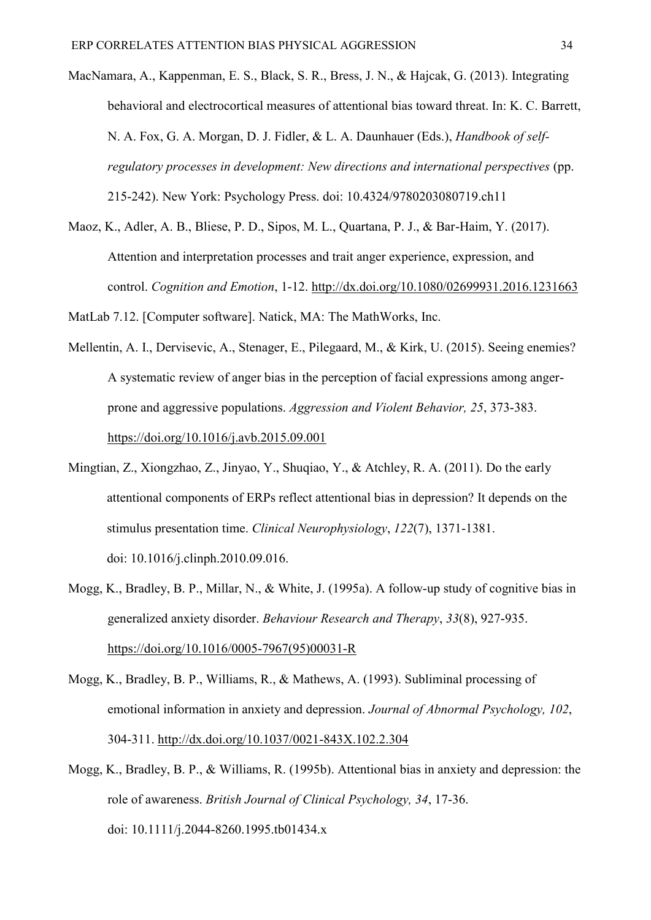- MacNamara, A., Kappenman, E. S., Black, S. R., Bress, J. N., & Hajcak, G. (2013). Integrating behavioral and electrocortical measures of attentional bias toward threat. In: K. C. Barrett, N. A. Fox, G. A. Morgan, D. J. Fidler, & L. A. Daunhauer (Eds.), *Handbook of selfregulatory processes in development: New directions and international perspectives* (pp. 215-242). New York: Psychology Press. doi: 10.4324/9780203080719.ch11
- Maoz, K., Adler, A. B., Bliese, P. D., Sipos, M. L., Quartana, P. J., & Bar-Haim, Y. (2017). Attention and interpretation processes and trait anger experience, expression, and control. *Cognition and Emotion*, 1-12. http://dx.doi.org/10.1080/02699931.2016.1231663

MatLab 7.12. [Computer software]. Natick, MA: The MathWorks, Inc.

- Mellentin, A. I., Dervisevic, A., Stenager, E., Pilegaard, M., & Kirk, U. (2015). Seeing enemies? A systematic review of anger bias in the perception of facial expressions among angerprone and aggressive populations. *Aggression and Violent Behavior, 25*, 373-383. <https://doi.org/10.1016/j.avb.2015.09.001>
- Mingtian, Z., Xiongzhao, Z., Jinyao, Y., Shuqiao, Y., & Atchley, R. A. (2011). Do the early attentional components of ERPs reflect attentional bias in depression? It depends on the stimulus presentation time. *Clinical Neurophysiology*, *122*(7), 1371-1381. doi: 10.1016/j.clinph.2010.09.016.
- Mogg, K., Bradley, B. P., Millar, N., & White, J. (1995a). A follow-up study of cognitive bias in generalized anxiety disorder. *Behaviour Research and Therapy*, *33*(8), 927-935. [https://doi.org/10.1016/0005-7967\(95\)00031-R](https://doi.org/10.1016/0005-7967(95)00031-R)
- Mogg, K., Bradley, B. P., Williams, R., & Mathews, A. (1993). Subliminal processing of emotional information in anxiety and depression. *Journal of Abnormal Psychology, 102*, 304-311. [http://dx.doi.org/10.1037/0021-843X.102.2.304](http://psycnet.apa.org/doi/10.1037/0021-843X.102.2.304)
- Mogg, K., Bradley, B. P., & Williams, R. (1995b). Attentional bias in anxiety and depression: the role of awareness. *British Journal of Clinical Psychology, 34*, 17-36. doi: 10.1111/j.2044-8260.1995.tb01434.x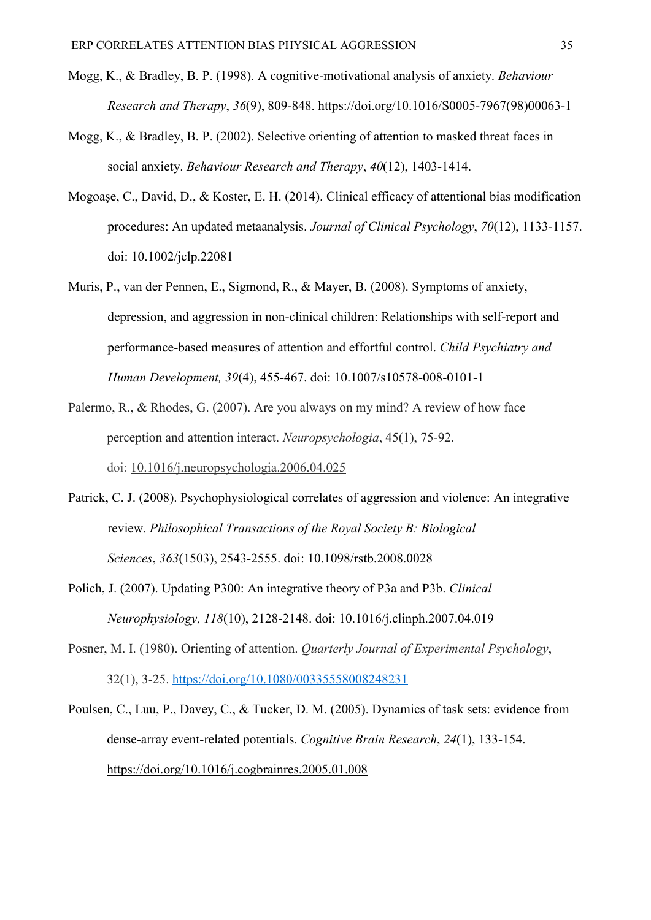- Mogg, K., & Bradley, B. P. (1998). A cognitive-motivational analysis of anxiety. *Behaviour Research and Therapy*, *36*(9), 809-848. [https://doi.org/10.1016/S0005-7967\(98\)00063-1](https://doi.org/10.1016/S0005-7967(98)00063-1)
- Mogg, K., & Bradley, B. P. (2002). Selective orienting of attention to masked threat faces in social anxiety. *Behaviour Research and Therapy*, *40*(12), 1403-1414.
- Mogoaşe, C., David, D., & Koster, E. H. (2014). Clinical efficacy of attentional bias modification procedures: An updated metaanalysis. *Journal of Clinical Psychology*, *70*(12), 1133-1157. doi: 10.1002/jclp.22081
- Muris, P., van der Pennen, E., Sigmond, R., & Mayer, B. (2008). Symptoms of anxiety, depression, and aggression in non-clinical children: Relationships with self-report and performance-based measures of attention and effortful control. *Child Psychiatry and Human Development, 39*(4), 455-467. doi: [10.1007/s10578-008-0101-1](https://doi.org/10.1007/s10578-008-0101-1)
- Palermo, R., & Rhodes, G. (2007). Are you always on my mind? A review of how face perception and attention interact. *Neuropsychologia*, 45(1), 75-92. doi: [10.1016/j.neuropsychologia.2006.04.025](https://doi.org/10.1016/j.neuropsychologia.2006.04.025)
- Patrick, C. J. (2008). Psychophysiological correlates of aggression and violence: An integrative review. *Philosophical Transactions of the Royal Society B: Biological Sciences*, *363*(1503), 2543-2555. doi: 10.1098/rstb.2008.0028
- Polich, J. (2007). Updating P300: An integrative theory of P3a and P3b. *Clinical Neurophysiology, 118*(10), 2128-2148. doi: [10.1016/j.clinph.2007.04.019](https://doi.org/10.1016/j.clinph.2007.04.019)
- Posner, M. I. (1980). Orienting of attention. *Quarterly Journal of Experimental Psychology*, 32(1), 3-25. [https://doi.org/10.1080/00335558008248231](https://doi.org/10.1080%2F00335558008248231)
- Poulsen, C., Luu, P., Davey, C., & Tucker, D. M. (2005). Dynamics of task sets: evidence from dense-array event-related potentials. *Cognitive Brain Research*, *24*(1), 133-154. https://doi.org/10.1016/j.cogbrainres.2005.01.008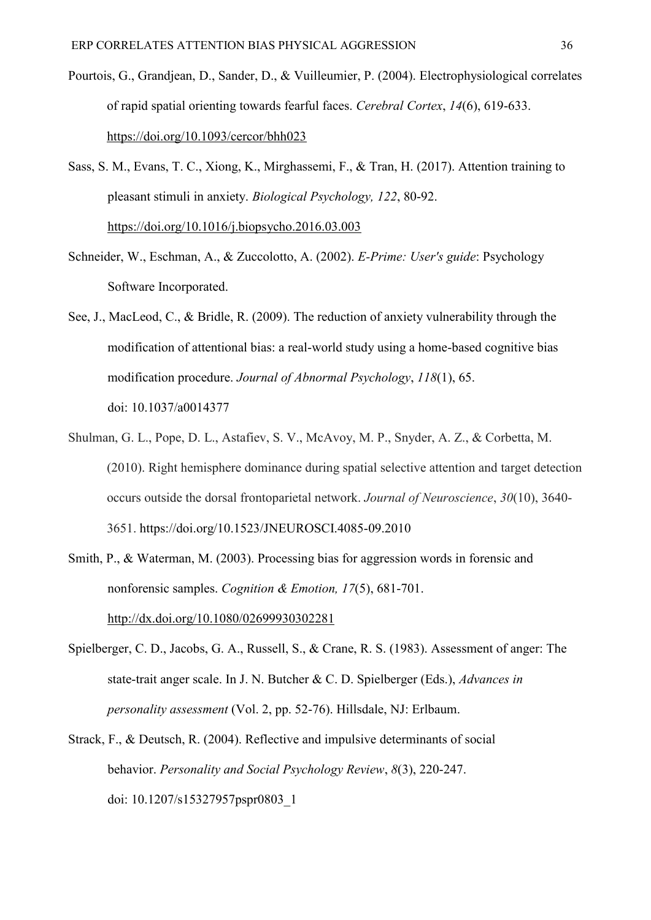- Pourtois, G., Grandjean, D., Sander, D., & Vuilleumier, P. (2004). Electrophysiological correlates of rapid spatial orienting towards fearful faces. *Cerebral Cortex*, *14*(6), 619-633. <https://doi.org/10.1093/cercor/bhh023>
- Sass, S. M., Evans, T. C., Xiong, K., Mirghassemi, F., & Tran, H. (2017). Attention training to pleasant stimuli in anxiety. *Biological Psychology, 122*, 80-92. <https://doi.org/10.1016/j.biopsycho.2016.03.003>
- Schneider, W., Eschman, A., & Zuccolotto, A. (2002). *E-Prime: User's guide*: Psychology Software Incorporated.
- See, J., MacLeod, C., & Bridle, R. (2009). The reduction of anxiety vulnerability through the modification of attentional bias: a real-world study using a home-based cognitive bias modification procedure. *Journal of Abnormal Psychology*, *118*(1), 65. doi: [10.1037/a0014377](https://doi.org/10.1037/a0014377)
- Shulman, G. L., Pope, D. L., Astafiev, S. V., McAvoy, M. P., Snyder, A. Z., & Corbetta, M. (2010). Right hemisphere dominance during spatial selective attention and target detection occurs outside the dorsal frontoparietal network. *Journal of Neuroscience*, *30*(10), 3640- 3651. https://doi.org/10.1523/JNEUROSCI.4085-09.2010
- Smith, P., & Waterman, M. (2003). Processing bias for aggression words in forensic and nonforensic samples. *Cognition & Emotion, 17*(5), 681-701. <http://dx.doi.org/10.1080/02699930302281>
- Spielberger, C. D., Jacobs, G. A., Russell, S., & Crane, R. S. (1983). Assessment of anger: The state-trait anger scale. In J. N. Butcher & C. D. Spielberger (Eds.), *Advances in personality assessment* (Vol. 2, pp. 52-76). Hillsdale, NJ: Erlbaum.
- Strack, F., & Deutsch, R. (2004). Reflective and impulsive determinants of social behavior. *Personality and Social Psychology Review*, *8*(3), 220-247. doi: [10.1207/s15327957pspr0803\\_1](https://doi.org/10.1207/s15327957pspr0803_1)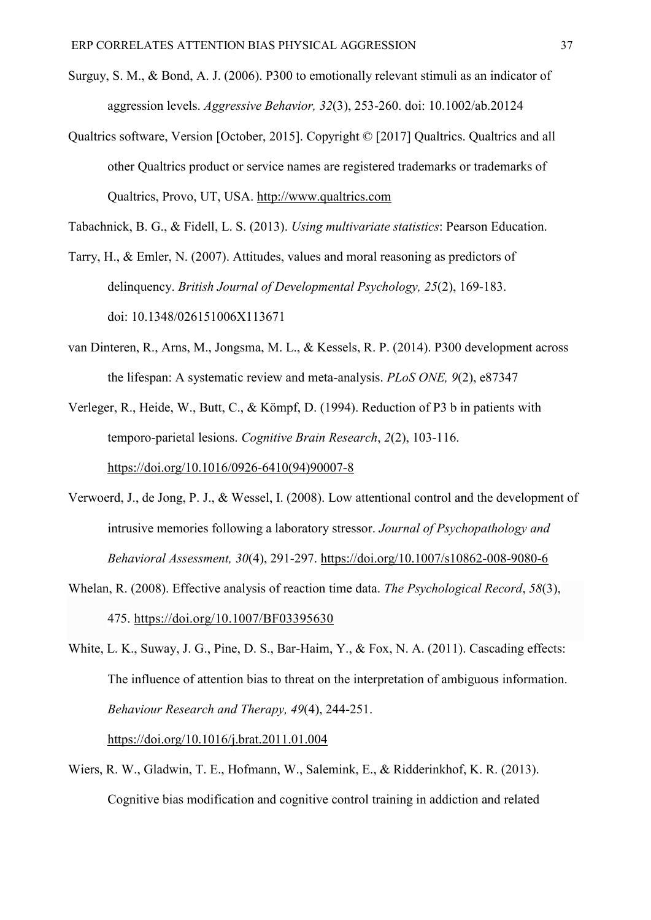- Surguy, S. M., & Bond, A. J. (2006). P300 to emotionally relevant stimuli as an indicator of aggression levels. *Aggressive Behavior, 32*(3), 253-260. doi: 10.1002/ab.20124
- Qualtrics software, Version [October, 2015]. Copyright © [2017] Qualtrics. Qualtrics and all other Qualtrics product or service names are registered trademarks or trademarks of Qualtrics, Provo, UT, USA. http://www.qualtrics.com
- Tabachnick, B. G., & Fidell, L. S. (2013). *Using multivariate statistics*: Pearson Education.
- Tarry, H., & Emler, N. (2007). Attitudes, values and moral reasoning as predictors of delinquency. *British Journal of Developmental Psychology, 25*(2), 169-183. doi: 10.1348/026151006X113671
- van Dinteren, R., Arns, M., Jongsma, M. L., & Kessels, R. P. (2014). P300 development across the lifespan: A systematic review and meta-analysis. *PLoS ONE, 9*(2), e87347
- Verleger, R., Heide, W., Butt, C., & Kömpf, D. (1994). Reduction of P3 b in patients with temporo-parietal lesions. *Cognitive Brain Research*, *2*(2), 103-116. [https://doi.org/10.1016/0926-6410\(94\)90007-8](https://doi.org/10.1016/0926-6410(94)90007-8)
- Verwoerd, J., de Jong, P. J., & Wessel, I. (2008). Low attentional control and the development of intrusive memories following a laboratory stressor. *Journal of Psychopathology and Behavioral Assessment, 30*(4), 291-297. https://doi.org/10.1007/s10862-008-9080-6
- Whelan, R. (2008). Effective analysis of reaction time data. *The Psychological Record*, *58*(3), 475. https://doi.org/10.1007/BF03395630
- White, L. K., Suway, J. G., Pine, D. S., Bar-Haim, Y., & Fox, N. A. (2011). Cascading effects: The influence of attention bias to threat on the interpretation of ambiguous information. *Behaviour Research and Therapy, 49*(4), 244-251. <https://doi.org/10.1016/j.brat.2011.01.004>
- Wiers, R. W., Gladwin, T. E., Hofmann, W., Salemink, E., & Ridderinkhof, K. R. (2013). Cognitive bias modification and cognitive control training in addiction and related